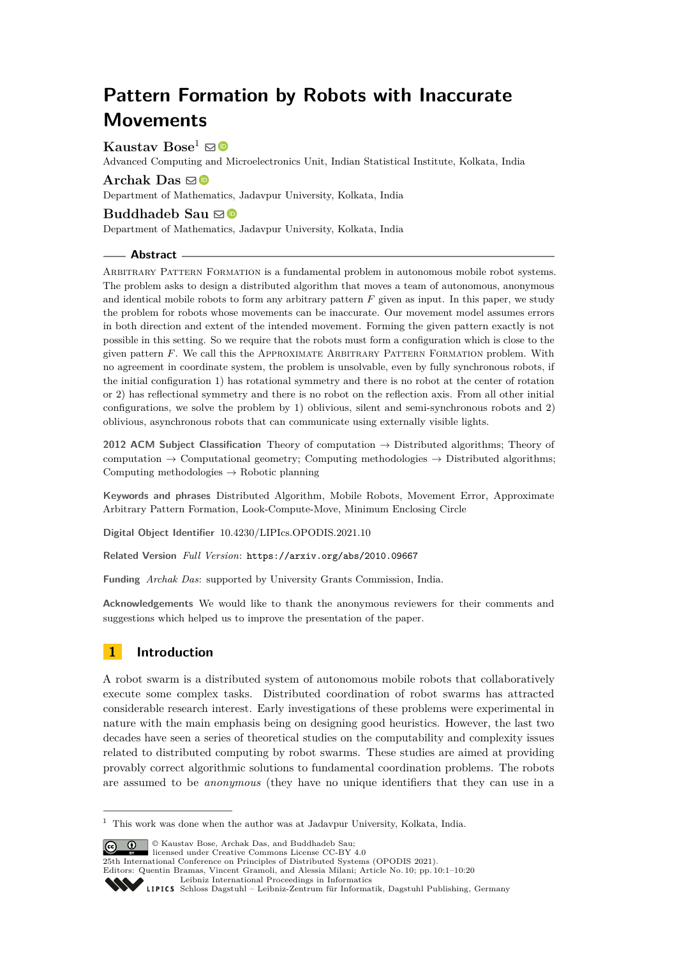# **Pattern Formation by Robots with Inaccurate Movements**

Kaustav Bose<sup>1</sup> ⊠ <sup>®</sup>

Advanced Computing and Microelectronics Unit, Indian Statistical Institute, Kolkata, India

**Archak Das** [!](mailto:archakdas.math.rs@jadavpuruniversity.in)

Department of Mathematics, Jadavpur University, Kolkata, India

## **Buddhadeb Sau**  $\mathbf{\mathbb{D}}$

Department of Mathematics, Jadavpur University, Kolkata, India

## **Abstract**

Arbitrary Pattern Formation is a fundamental problem in autonomous mobile robot systems. The problem asks to design a distributed algorithm that moves a team of autonomous, anonymous and identical mobile robots to form any arbitrary pattern *F* given as input. In this paper, we study the problem for robots whose movements can be inaccurate. Our movement model assumes errors in both direction and extent of the intended movement. Forming the given pattern exactly is not possible in this setting. So we require that the robots must form a configuration which is close to the given pattern *F*. We call this the APPROXIMATE ARBITRARY PATTERN FORMATION problem. With no agreement in coordinate system, the problem is unsolvable, even by fully synchronous robots, if the initial configuration 1) has rotational symmetry and there is no robot at the center of rotation or 2) has reflectional symmetry and there is no robot on the reflection axis. From all other initial configurations, we solve the problem by 1) oblivious, silent and semi-synchronous robots and 2) oblivious, asynchronous robots that can communicate using externally visible lights.

**2012 ACM Subject Classification** Theory of computation → Distributed algorithms; Theory of computation  $\rightarrow$  Computational geometry; Computing methodologies  $\rightarrow$  Distributed algorithms; Computing methodologies  $\rightarrow$  Robotic planning

**Keywords and phrases** Distributed Algorithm, Mobile Robots, Movement Error, Approximate Arbitrary Pattern Formation, Look-Compute-Move, Minimum Enclosing Circle

**Digital Object Identifier** [10.4230/LIPIcs.OPODIS.2021.10](https://doi.org/10.4230/LIPIcs.OPODIS.2021.10)

**Related Version** *Full Version*: <https://arxiv.org/abs/2010.09667>

**Funding** *Archak Das*: supported by University Grants Commission, India.

**Acknowledgements** We would like to thank the anonymous reviewers for their comments and suggestions which helped us to improve the presentation of the paper.

## **1 Introduction**

A robot swarm is a distributed system of autonomous mobile robots that collaboratively execute some complex tasks. Distributed coordination of robot swarms has attracted considerable research interest. Early investigations of these problems were experimental in nature with the main emphasis being on designing good heuristics. However, the last two decades have seen a series of theoretical studies on the computability and complexity issues related to distributed computing by robot swarms. These studies are aimed at providing provably correct algorithmic solutions to fundamental coordination problems. The robots are assumed to be *anonymous* (they have no unique identifiers that they can use in a

© Kaustav Bose, Archak Das, and Buddhadeb Sau;

licensed under Creative Commons License CC-BY  $4.0$ 

25th International Conference on Principles of Distributed Systems (OPODIS 2021).

Editors: Quentin Bramas, Vincent Gramoli, and Alessia Milani; Article No. 10; pp. 10:1–10:20

[Leibniz International Proceedings in Informatics](https://www.dagstuhl.de/lipics/)



<sup>&</sup>lt;sup>1</sup> This work was done when the author was at Jadavpur University, Kolkata, India.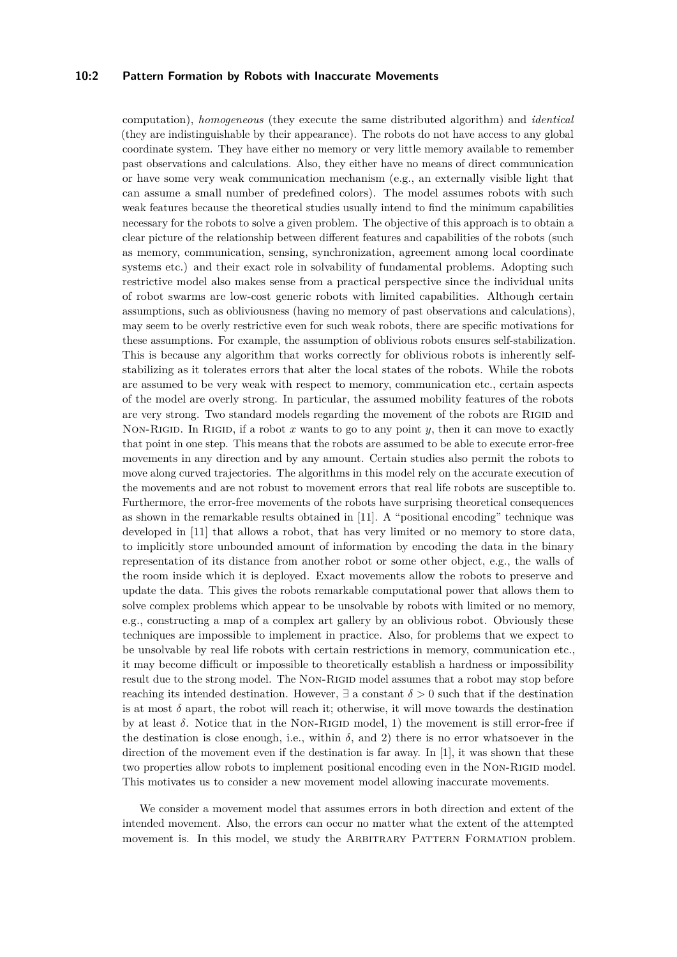## **10:2 Pattern Formation by Robots with Inaccurate Movements**

computation), *homogeneous* (they execute the same distributed algorithm) and *identical* (they are indistinguishable by their appearance). The robots do not have access to any global coordinate system. They have either no memory or very little memory available to remember past observations and calculations. Also, they either have no means of direct communication or have some very weak communication mechanism (e.g., an externally visible light that can assume a small number of predefined colors). The model assumes robots with such weak features because the theoretical studies usually intend to find the minimum capabilities necessary for the robots to solve a given problem. The objective of this approach is to obtain a clear picture of the relationship between different features and capabilities of the robots (such as memory, communication, sensing, synchronization, agreement among local coordinate systems etc.) and their exact role in solvability of fundamental problems. Adopting such restrictive model also makes sense from a practical perspective since the individual units of robot swarms are low-cost generic robots with limited capabilities. Although certain assumptions, such as obliviousness (having no memory of past observations and calculations), may seem to be overly restrictive even for such weak robots, there are specific motivations for these assumptions. For example, the assumption of oblivious robots ensures self-stabilization. This is because any algorithm that works correctly for oblivious robots is inherently selfstabilizing as it tolerates errors that alter the local states of the robots. While the robots are assumed to be very weak with respect to memory, communication etc., certain aspects of the model are overly strong. In particular, the assumed mobility features of the robots are very strong. Two standard models regarding the movement of the robots are RIGID and Non-RIGID. In RIGID, if a robot x wants to go to any point y, then it can move to exactly that point in one step. This means that the robots are assumed to be able to execute error-free movements in any direction and by any amount. Certain studies also permit the robots to move along curved trajectories. The algorithms in this model rely on the accurate execution of the movements and are not robust to movement errors that real life robots are susceptible to. Furthermore, the error-free movements of the robots have surprising theoretical consequences as shown in the remarkable results obtained in [\[11\]](#page-16-0). A "positional encoding" technique was developed in [\[11\]](#page-16-0) that allows a robot, that has very limited or no memory to store data, to implicitly store unbounded amount of information by encoding the data in the binary representation of its distance from another robot or some other object, e.g., the walls of the room inside which it is deployed. Exact movements allow the robots to preserve and update the data. This gives the robots remarkable computational power that allows them to solve complex problems which appear to be unsolvable by robots with limited or no memory, e.g., constructing a map of a complex art gallery by an oblivious robot. Obviously these techniques are impossible to implement in practice. Also, for problems that we expect to be unsolvable by real life robots with certain restrictions in memory, communication etc., it may become difficult or impossible to theoretically establish a hardness or impossibility result due to the strong model. The NON-RIGID model assumes that a robot may stop before reaching its intended destination. However,  $\exists$  a constant  $\delta > 0$  such that if the destination is at most  $\delta$  apart, the robot will reach it; otherwise, it will move towards the destination by at least  $\delta$ . Notice that in the NON-RIGID model, 1) the movement is still error-free if the destination is close enough, i.e., within  $\delta$ , and 2) there is no error whatsoever in the direction of the movement even if the destination is far away. In [\[1\]](#page-15-0), it was shown that these two properties allow robots to implement positional encoding even in the NON-RIGID model. This motivates us to consider a new movement model allowing inaccurate movements.

We consider a movement model that assumes errors in both direction and extent of the intended movement. Also, the errors can occur no matter what the extent of the attempted movement is. In this model, we study the ARBITRARY PATTERN FORMATION problem.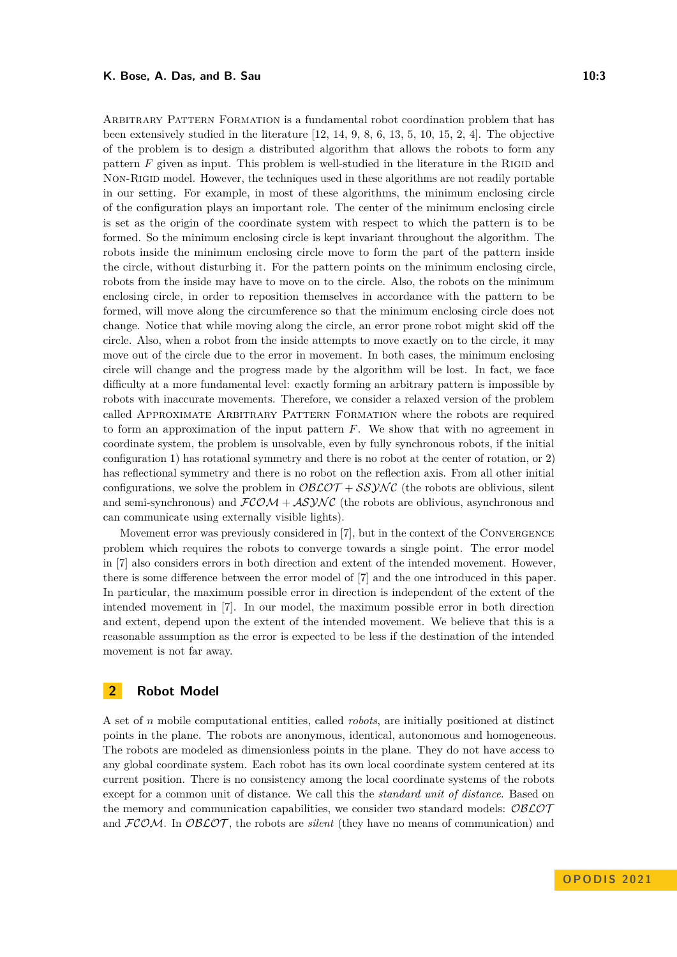Arbitrary Pattern Formation is a fundamental robot coordination problem that has been extensively studied in the literature [\[12,](#page-16-1) [14,](#page-16-2) [9,](#page-16-3) [8,](#page-16-4) [6,](#page-16-5) [13,](#page-16-6) [5,](#page-16-7) [10,](#page-16-8) [15,](#page-16-9) [2,](#page-15-1) [4\]](#page-16-10). The objective of the problem is to design a distributed algorithm that allows the robots to form any pattern  $F$  given as input. This problem is well-studied in the literature in the RIGID and Non-Rigid model. However, the techniques used in these algorithms are not readily portable in our setting. For example, in most of these algorithms, the minimum enclosing circle of the configuration plays an important role. The center of the minimum enclosing circle is set as the origin of the coordinate system with respect to which the pattern is to be formed. So the minimum enclosing circle is kept invariant throughout the algorithm. The robots inside the minimum enclosing circle move to form the part of the pattern inside the circle, without disturbing it. For the pattern points on the minimum enclosing circle, robots from the inside may have to move on to the circle. Also, the robots on the minimum enclosing circle, in order to reposition themselves in accordance with the pattern to be formed, will move along the circumference so that the minimum enclosing circle does not change. Notice that while moving along the circle, an error prone robot might skid off the circle. Also, when a robot from the inside attempts to move exactly on to the circle, it may move out of the circle due to the error in movement. In both cases, the minimum enclosing circle will change and the progress made by the algorithm will be lost. In fact, we face difficulty at a more fundamental level: exactly forming an arbitrary pattern is impossible by robots with inaccurate movements. Therefore, we consider a relaxed version of the problem called Approximate Arbitrary Pattern Formation where the robots are required to form an approximation of the input pattern *F*. We show that with no agreement in coordinate system, the problem is unsolvable, even by fully synchronous robots, if the initial configuration 1) has rotational symmetry and there is no robot at the center of rotation, or 2) has reflectional symmetry and there is no robot on the reflection axis. From all other initial configurations, we solve the problem in  $\mathcal{O} \mathcal{B} \mathcal{L} \mathcal{O} \mathcal{T} + \mathcal{S} \mathcal{S} \mathcal{Y} \mathcal{N} \mathcal{C}$  (the robots are oblivious, silent and semi-synchronous) and  $FCOM + ASYNC$  (the robots are oblivious, asynchronous and can communicate using externally visible lights).

Movement error was previously considered in [\[7\]](#page-16-11), but in the context of the Convergence problem which requires the robots to converge towards a single point. The error model in [\[7\]](#page-16-11) also considers errors in both direction and extent of the intended movement. However, there is some difference between the error model of [\[7\]](#page-16-11) and the one introduced in this paper. In particular, the maximum possible error in direction is independent of the extent of the intended movement in [\[7\]](#page-16-11). In our model, the maximum possible error in both direction and extent, depend upon the extent of the intended movement. We believe that this is a reasonable assumption as the error is expected to be less if the destination of the intended movement is not far away.

## **2 Robot Model**

A set of *n* mobile computational entities, called *robots*, are initially positioned at distinct points in the plane. The robots are anonymous, identical, autonomous and homogeneous. The robots are modeled as dimensionless points in the plane. They do not have access to any global coordinate system. Each robot has its own local coordinate system centered at its current position. There is no consistency among the local coordinate systems of the robots except for a common unit of distance. We call this the *standard unit of distance*. Based on the memory and communication capabilities, we consider two standard models:  $\mathcal{O}\mathcal{B}\mathcal{L}\mathcal{O}\mathcal{T}$ and  $FCOM$ . In  $OBCOT$ , the robots are *silent* (they have no means of communication) and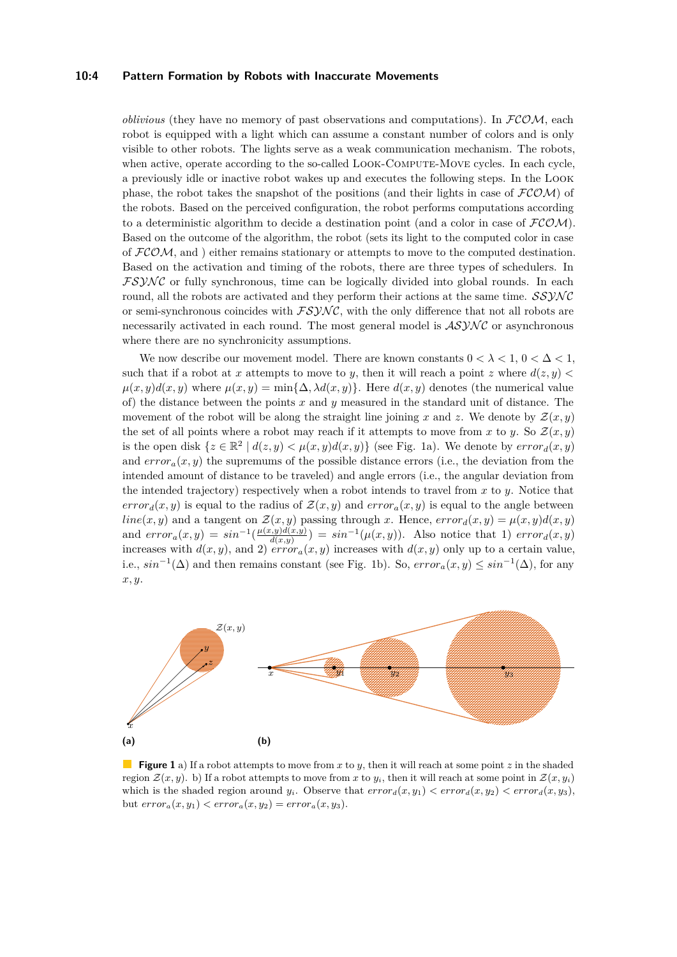#### **10:4 Pattern Formation by Robots with Inaccurate Movements**

*oblivious* (they have no memory of past observations and computations). In  $FCOM$ , each robot is equipped with a light which can assume a constant number of colors and is only visible to other robots. The lights serve as a weak communication mechanism. The robots, when active, operate according to the so-called LOOK-COMPUTE-MOVE cycles. In each cycle, a previously idle or inactive robot wakes up and executes the following steps. In the Look phase, the robot takes the snapshot of the positions (and their lights in case of  $\mathcal{FCOM}$ ) of the robots. Based on the perceived configuration, the robot performs computations according to a deterministic algorithm to decide a destination point (and a color in case of  $FCOM$ ). Based on the outcome of the algorithm, the robot (sets its light to the computed color in case of  $FCOM$ , and ) either remains stationary or attempts to move to the computed destination. Based on the activation and timing of the robots, there are three types of schedulers. In  $FSYNC$  or fully synchronous, time can be logically divided into global rounds. In each round, all the robots are activated and they perform their actions at the same time.  $SSVNC$ or semi-synchronous coincides with  $FSYNC$ , with the only difference that not all robots are necessarily activated in each round. The most general model is  $ASYNC$  or asynchronous where there are no synchronicity assumptions.

We now describe our movement model. There are known constants  $0 < \lambda < 1$ ,  $0 < \Delta < 1$ , such that if a robot at *x* attempts to move to *y*, then it will reach a point *z* where  $d(z, y)$  $\mu(x, y)d(x, y)$  where  $\mu(x, y) = \min{\{\Delta, \lambda d(x, y)\}}$ . Here  $d(x, y)$  denotes (the numerical value of) the distance between the points *x* and *y* measured in the standard unit of distance. The movement of the robot will be along the straight line joining x and z. We denote by  $\mathcal{Z}(x, y)$ the set of all points where a robot may reach if it attempts to move from *x* to *y*. So  $\mathcal{Z}(x, y)$ is the open disk  $\{z \in \mathbb{R}^2 \mid d(z, y) < \mu(x, y)d(x, y)\}$  (see Fig. [1a\)](#page-3-0). We denote by  $error_d(x, y)$ and  $error_a(x, y)$  the supremums of the possible distance errors (i.e., the deviation from the intended amount of distance to be traveled) and angle errors (i.e., the angular deviation from the intended trajectory) respectively when a robot intends to travel from *x* to *y*. Notice that *error<sub>d</sub>*(*x, y*) is equal to the radius of  $\mathcal{Z}(x, y)$  and  $error_a(x, y)$  is equal to the angle between  $line(x, y)$  and a tangent on  $\mathcal{Z}(x, y)$  passing through *x*. Hence,  $error_d(x, y) = \mu(x, y)d(x, y)$ and  $error_a(x,y) = sin^{-1}(\frac{\mu(x,y)d(x,y)}{d(x,y)})$  $\frac{d(x,y)d(x,y)}{d(x,y)}$  =  $sin^{-1}(\mu(x,y))$ . Also notice that 1) *error<sub>d</sub>*(*x, y*) increases with  $d(x, y)$ , and 2)  $error_a(x, y)$  increases with  $d(x, y)$  only up to a certain value, i.e.,  $sin^{-1}(\Delta)$  and then remains constant (see Fig. [1b\)](#page-3-0). So,  $error_a(x, y) \leq sin^{-1}(\Delta)$ , for any *x, y*.

<span id="page-3-0"></span>

**Figure 1** a) If a robot attempts to move from *x* to *y*, then it will reach at some point *z* in the shaded region  $\mathcal{Z}(x, y)$ . b) If a robot attempts to move from x to  $y_i$ , then it will reach at some point in  $\mathcal{Z}(x, y_i)$ which is the shaded region around  $y_i$ . Observe that  $error_d(x, y_1) < error_d(x, y_2) < error_d(x, y_3)$ , but  $error_a(x, y_1) < error_a(x, y_2) = error_a(x, y_3)$ .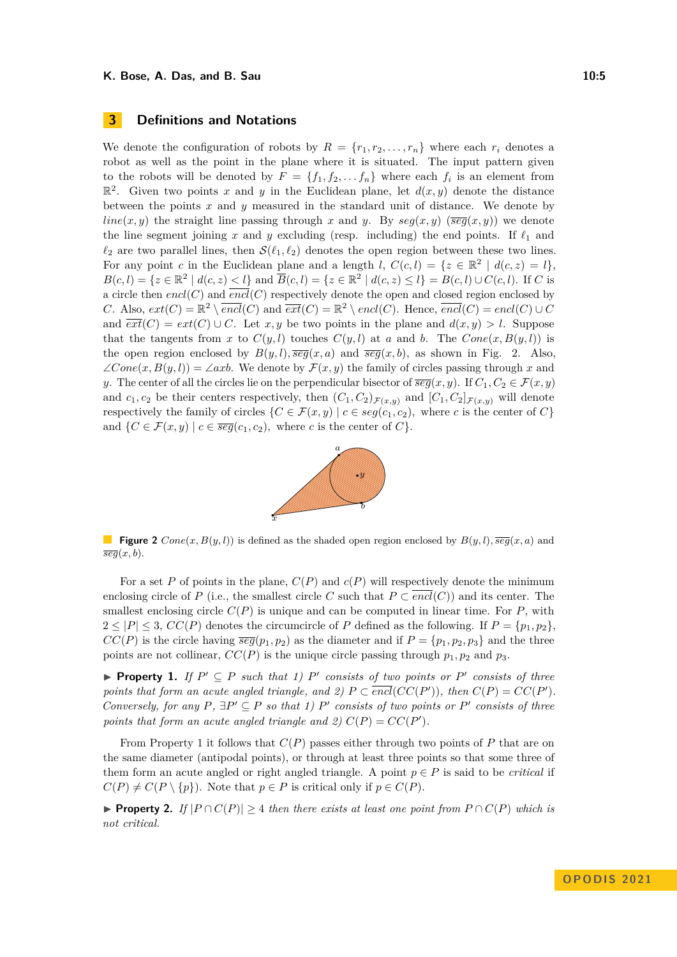We denote the configuration of robots by  $R = \{r_1, r_2, \ldots, r_n\}$  where each  $r_i$  denotes a robot as well as the point in the plane where it is situated. The input pattern given to the robots will be denoted by  $F = \{f_1, f_2, \ldots, f_n\}$  where each  $f_i$  is an element from  $\mathbb{R}^2$ . Given two points *x* and *y* in the Euclidean plane, let  $d(x, y)$  denote the distance between the points *x* and *y* measured in the standard unit of distance. We denote by *line*(*x, y*) the straight line passing through *x* and *y*. By  $seg(x, y)$  ( $\overline{seg}(x, y)$ ) we denote the line segment joining  $x$  and  $y$  excluding (resp. including) the end points. If  $\ell_1$  and  $\ell_2$  are two parallel lines, then  $\mathcal{S}(\ell_1, \ell_2)$  denotes the open region between these two lines. For any point *c* in the Euclidean plane and a length *l*,  $C(c, l) = \{z \in \mathbb{R}^2 \mid d(c, z) = l\},\$  $B(c, l) = \{z \in \mathbb{R}^2 \mid d(c, z) < l\}$  and  $\overline{B}(c, l) = \{z \in \mathbb{R}^2 \mid d(c, z) \le l\} = B(c, l) \cup C(c, l)$ . If *C* is a circle then  $encl(C)$  and  $\overline{encl}(C)$  respectively denote the open and closed region enclosed by *C*. Also,  $ext(C) = \mathbb{R}^2 \setminus \overline{encl}(C)$  and  $\overline{ext}(C) = \mathbb{R}^2 \setminus encl(C)$ . Hence,  $\overline{encl}(C) = encl(C) \cup C$ and  $\overline{ext}(C) = ext(C) \cup C$ . Let *x, y* be two points in the plane and  $d(x, y) > l$ . Suppose that the tangents from *x* to  $C(y, l)$  touches  $C(y, l)$  at *a* and *b*. The  $Cone(x, B(y, l))$  is the open region enclosed by  $B(y, l)$ *,*  $\overline{seg}(x, a)$  and  $\overline{seg}(x, b)$ *,* as shown in Fig. [2.](#page-4-0) Also,  $\angle Cone(x, B(y, l)) = \angle axb$ . We denote by  $\mathcal{F}(x, y)$  the family of circles passing through x and *y*. The center of all the circles lie on the perpendicular bisector of  $\overline{seg}(x, y)$ . If  $C_1, C_2 \in \mathcal{F}(x, y)$ and  $c_1, c_2$  be their centers respectively, then  $(C_1, C_2)_{\mathcal{F}(x,y)}$  and  $[C_1, C_2]_{\mathcal{F}(x,y)}$  will denote respectively the family of circles  $\{C \in \mathcal{F}(x, y) \mid c \in seg(c_1, c_2), \text{ where } c \text{ is the center of } C\}$ and  $\{C \in \mathcal{F}(x, y) \mid c \in \overline{seg}(c_1, c_2), \text{ where } c \text{ is the center of } C\}.$ 



<span id="page-4-0"></span>**Figure 2**  $Cone(x, B(y, l))$  is defined as the shaded open region enclosed by  $B(y, l)$ ,  $\overline{seg}(x, a)$  and  $\overline{seg}(x, b)$ .

For a set P of points in the plane,  $C(P)$  and  $c(P)$  will respectively denote the minimum enclosing circle of *P* (i.e., the smallest circle *C* such that  $P \subset \overline{encl}(C)$ ) and its center. The smallest enclosing circle  $C(P)$  is unique and can be computed in linear time. For  $P$ , with  $2 \leq |P| \leq 3$ ,  $CC(P)$  denotes the circumcircle of P defined as the following. If  $P = \{p_1, p_2\}$ ,  $CC(P)$  is the circle having  $\overline{seg}(p_1, p_2)$  as the diameter and if  $P = \{p_1, p_2, p_3\}$  and the three points are not collinear,  $CC(P)$  is the unique circle passing through  $p_1, p_2$  and  $p_3$ .

<span id="page-4-1"></span>▶ **Property 1.** *If*  $P' ⊆ P$  *such that 1)*  $P'$  *consists of two points or*  $P'$  *consists of three points that form an acute angled triangle, and 2)*  $P \subset \overline{encl}(CC(P'))$ , then  $C(P) = CC(P')$ . *Conversely, for any*  $P$ *,*  $\exists P' \subseteq P$  *so that 1)*  $P'$  *consists of two points or*  $P'$  *consists of three points that form an acute angled triangle and 2)*  $C(P) = CC(P')$ *.* 

From Property [1](#page-4-1) it follows that *C*(*P*) passes either through two points of *P* that are on the same diameter (antipodal points), or through at least three points so that some three of them form an acute angled or right angled triangle. A point  $p \in P$  is said to be *critical* if  $C(P) \neq C(P \setminus \{p\})$ . Note that  $p \in P$  is critical only if  $p \in C(P)$ .

▶ **Property 2.** *If*  $|P \cap C(P)| \geq 4$  *then there exists at least one point from*  $P \cap C(P)$  *which is not critical.*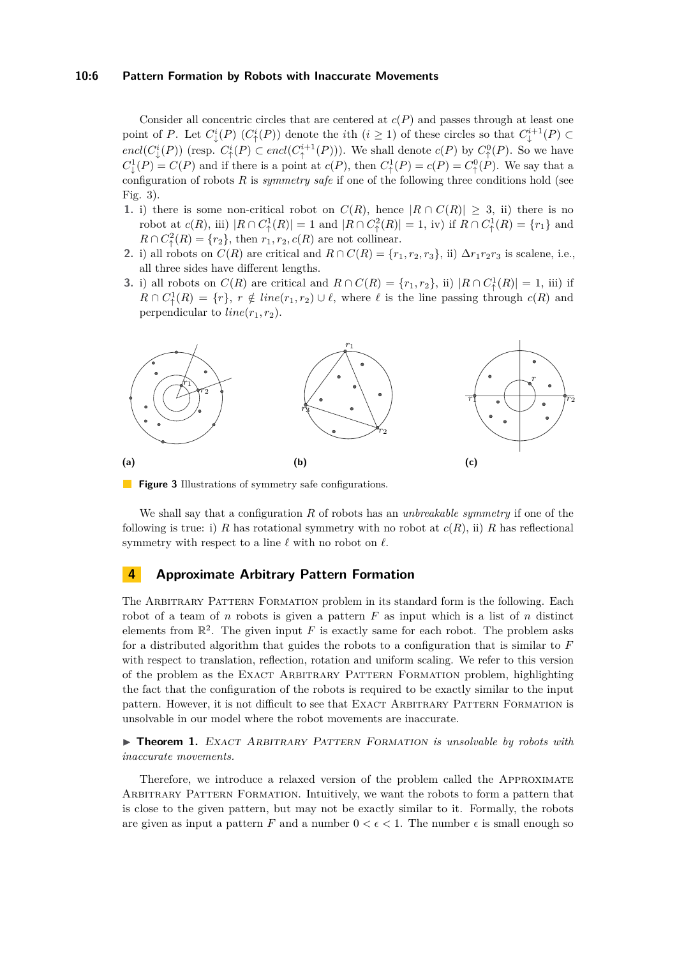#### **10:6 Pattern Formation by Robots with Inaccurate Movements**

Consider all concentric circles that are centered at *c*(*P*) and passes through at least one point of *P*. Let  $C^i_{\downarrow}(P)$   $(C^i_{\uparrow}(P))$  denote the *i*th  $(i \geq 1)$  of these circles so that  $C^{i+1}_{\downarrow}(P) \subset$  $encl(C^i_{\downarrow}(P))$  (resp.  $C^i_{\uparrow}(P) \subset encl(C^{i+1}_{\uparrow}(P))$ ). We shall denote  $c(P)$  by  $C^0_{\uparrow}(P)$ . So we have  $C^1_{\downarrow}(P) = C(P)$  and if there is a point at  $c(P)$ , then  $C^1_{\uparrow}(P) = c(P) = C^0_{\uparrow}(P)$ . We say that a configuration of robots *R* is *symmetry safe* if one of the following three conditions hold (see Fig. [3\)](#page-5-0).

- **1.** i) there is some non-critical robot on  $C(R)$ , hence  $|R \cap C(R)| \geq 3$ , ii) there is no robot at  $c(R)$ , iii)  $|R \cap C^1_{\uparrow}(R)| = 1$  and  $|R \cap C^2_{\uparrow}(R)| = 1$ , iv) if  $R \cap C^1_{\uparrow}(R) = \{r_1\}$  and  $R \cap C^2(\mathbb{R}) = \{r_2\}$ , then  $r_1, r_2, c(R)$  are not collinear.
- 2. i) all robots on  $C(R)$  are critical and  $R \cap C(R) = \{r_1, r_2, r_3\}$ , ii)  $\Delta r_1 r_2 r_3$  is scalene, i.e., all three sides have different lengths.
- **3.** i) all robots on  $C(R)$  are critical and  $R \cap C(R) = \{r_1, r_2\}$ , ii)  $|R \cap C^1(\{R)| = 1$ , iii) if  $R \cap C^1_{\uparrow}(R) = \{r\}, r \notin line(r_1, r_2) \cup \ell$ , where  $\ell$  is the line passing through  $c(R)$  and perpendicular to  $line(r_1, r_2)$ .

<span id="page-5-0"></span>

**Figure 3** Illustrations of symmetry safe configurations.

We shall say that a configuration *R* of robots has an *unbreakable symmetry* if one of the following is true: i) *R* has rotational symmetry with no robot at  $c(R)$ , ii) *R* has reflectional symmetry with respect to a line *ℓ* with no robot on *ℓ*.

## **4 Approximate Arbitrary Pattern Formation**

The Arbitrary Pattern Formation problem in its standard form is the following. Each robot of a team of *n* robots is given a pattern *F* as input which is a list of *n* distinct elements from  $\mathbb{R}^2$ . The given input *F* is exactly same for each robot. The problem asks for a distributed algorithm that guides the robots to a configuration that is similar to *F* with respect to translation, reflection, rotation and uniform scaling. We refer to this version of the problem as the Exact Arbitrary Pattern Formation problem, highlighting the fact that the configuration of the robots is required to be exactly similar to the input pattern. However, it is not difficult to see that EXACT ARBITRARY PATTERN FORMATION is unsolvable in our model where the robot movements are inaccurate.

▶ **Theorem 1.** EXACT ARBITRARY PATTERN FORMATION *is unsolvable by robots with inaccurate movements.*

Therefore, we introduce a relaxed version of the problem called the Approximate Arbitrary Pattern Formation. Intuitively, we want the robots to form a pattern that is close to the given pattern, but may not be exactly similar to it. Formally, the robots are given as input a pattern *F* and a number  $0 < \epsilon < 1$ . The number  $\epsilon$  is small enough so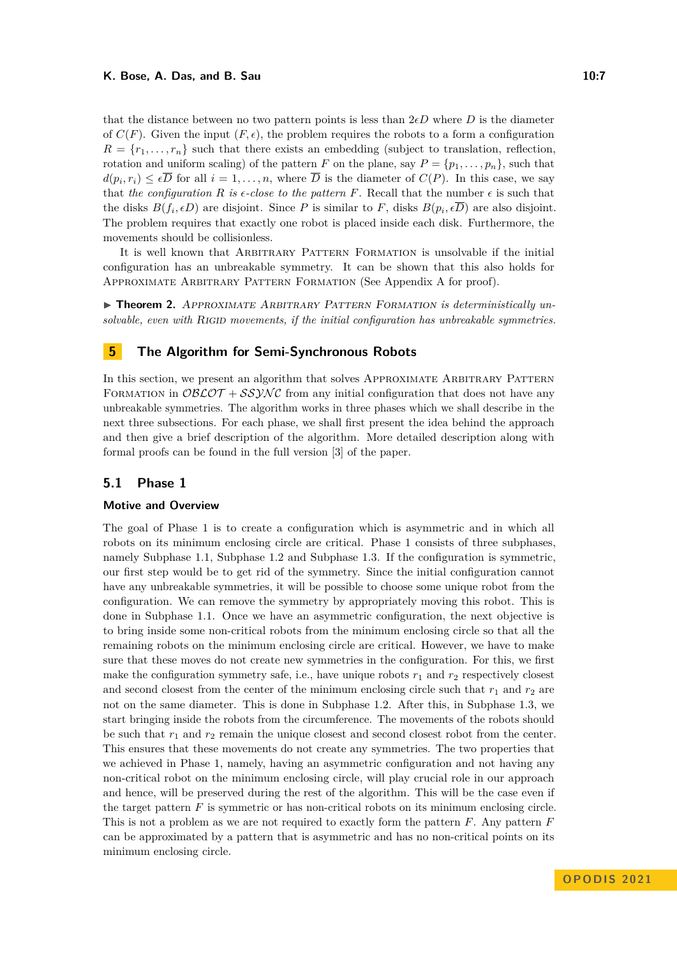that the distance between no two pattern points is less than  $2\nepsilon D$  where *D* is the diameter of  $C(F)$ . Given the input  $(F, \epsilon)$ , the problem requires the robots to a form a configuration  $R = \{r_1, \ldots, r_n\}$  such that there exists an embedding (subject to translation, reflection, rotation and uniform scaling) of the pattern *F* on the plane, say  $P = \{p_1, \ldots, p_n\}$ , such that  $d(p_i, r_i) \leq \epsilon D$  for all  $i = 1, \ldots, n$ , where *D* is the diameter of  $C(P)$ . In this case, we say that *the configuration*  $R$  *is*  $\epsilon$ -close to the pattern  $F$ . Recall that the number  $\epsilon$  is such that the disks  $B(f_i, \epsilon D)$  are disjoint. Since P is similar to F, disks  $B(p_i, \epsilon D)$  are also disjoint. The problem requires that exactly one robot is placed inside each disk. Furthermore, the movements should be collisionless.

It is well known that Arbitrary Pattern Formation is unsolvable if the initial configuration has an unbreakable symmetry. It can be shown that this also holds for Approximate Arbitrary Pattern Formation (See Appendix [A](#page-16-12) for proof).

<span id="page-6-1"></span>▶ **Theorem 2.** APPROXIMATE ARBITRARY PATTERN FORMATION is deterministically un*solvable, even with* Rigid *movements, if the initial configuration has unbreakable symmetries.*

## <span id="page-6-0"></span>**5 The Algorithm for Semi-Synchronous Robots**

In this section, we present an algorithm that solves APPROXIMATE ARBITRARY PATTERN FORMATION in  $\mathcal{O}B\mathcal{L}\mathcal{O}\mathcal{T} + \mathcal{SSYNC}$  from any initial configuration that does not have any unbreakable symmetries. The algorithm works in three phases which we shall describe in the next three subsections. For each phase, we shall first present the idea behind the approach and then give a brief description of the algorithm. More detailed description along with formal proofs can be found in the full version [\[3\]](#page-15-2) of the paper.

## **5.1 Phase 1**

#### **Motive and Overview**

The goal of Phase 1 is to create a configuration which is asymmetric and in which all robots on its minimum enclosing circle are critical. Phase 1 consists of three subphases, namely Subphase 1.1, Subphase 1.2 and Subphase 1.3. If the configuration is symmetric, our first step would be to get rid of the symmetry. Since the initial configuration cannot have any unbreakable symmetries, it will be possible to choose some unique robot from the configuration. We can remove the symmetry by appropriately moving this robot. This is done in Subphase 1.1. Once we have an asymmetric configuration, the next objective is to bring inside some non-critical robots from the minimum enclosing circle so that all the remaining robots on the minimum enclosing circle are critical. However, we have to make sure that these moves do not create new symmetries in the configuration. For this, we first make the configuration symmetry safe, i.e., have unique robots  $r_1$  and  $r_2$  respectively closest and second closest from the center of the minimum enclosing circle such that  $r_1$  and  $r_2$  are not on the same diameter. This is done in Subphase 1.2. After this, in Subphase 1.3, we start bringing inside the robots from the circumference. The movements of the robots should be such that  $r_1$  and  $r_2$  remain the unique closest and second closest robot from the center. This ensures that these movements do not create any symmetries. The two properties that we achieved in Phase 1, namely, having an asymmetric configuration and not having any non-critical robot on the minimum enclosing circle, will play crucial role in our approach and hence, will be preserved during the rest of the algorithm. This will be the case even if the target pattern *F* is symmetric or has non-critical robots on its minimum enclosing circle. This is not a problem as we are not required to exactly form the pattern *F*. Any pattern *F* can be approximated by a pattern that is asymmetric and has no non-critical points on its minimum enclosing circle.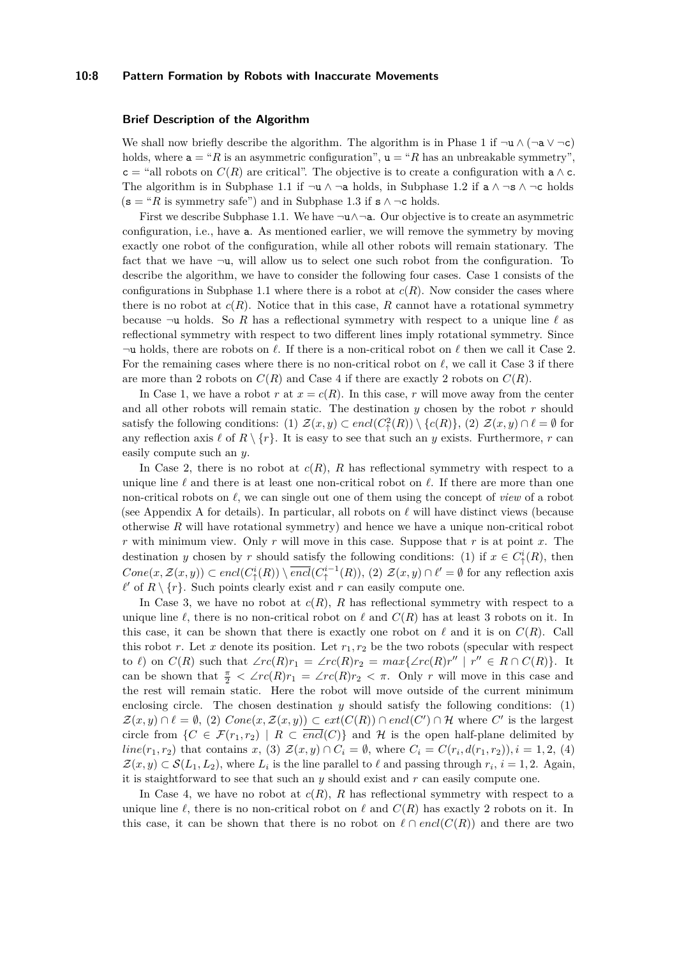#### **10:8 Pattern Formation by Robots with Inaccurate Movements**

#### **Brief Description of the Algorithm**

We shall now briefly describe the algorithm. The algorithm is in Phase 1 if  $\neg u \wedge (\neg a \vee \neg c)$ holds, where  $a = "R$  is an asymmetric configuration",  $u = "R$  has an unbreakable symmetry",  $c =$  "all robots on  $C(R)$  are critical". The objective is to create a configuration with  $a \wedge c$ . The algorithm is in Subphase 1.1 if  $\neg u \wedge \neg a$  holds, in Subphase 1.2 if  $a \wedge \neg s \wedge \neg c$  holds  $(s = "R$  is symmetry safe") and in Subphase 1.3 if  $s \land \neg c$  holds.

First we describe Subphase 1.1. We have  $\neg$ **u** $\land \neg$ **a**. Our objective is to create an asymmetric configuration, i.e., have a. As mentioned earlier, we will remove the symmetry by moving exactly one robot of the configuration, while all other robots will remain stationary. The fact that we have  $\neg u$ , will allow us to select one such robot from the configuration. To describe the algorithm, we have to consider the following four cases. Case 1 consists of the configurations in Subphase 1.1 where there is a robot at  $c(R)$ . Now consider the cases where there is no robot at  $c(R)$ . Notice that in this case, R cannot have a rotational symmetry because  $\neg$ **u** holds. So *R* has a reflectional symmetry with respect to a unique line  $\ell$  as reflectional symmetry with respect to two different lines imply rotational symmetry. Since ¬u holds, there are robots on *ℓ*. If there is a non-critical robot on *ℓ* then we call it Case 2. For the remaining cases where there is no non-critical robot on *ℓ*, we call it Case 3 if there are more than 2 robots on  $C(R)$  and Case 4 if there are exactly 2 robots on  $C(R)$ .

In Case 1, we have a robot *r* at  $x = c(R)$ . In this case, *r* will move away from the center and all other robots will remain static. The destination *y* chosen by the robot *r* should satisfy the following conditions: (1)  $\mathcal{Z}(x, y) \subset \text{encl}(C^2(\mathcal{R})) \setminus \{c(R)\},\$  (2)  $\mathcal{Z}(x, y) \cap \ell = \emptyset$  for any reflection axis  $\ell$  of  $R \setminus \{r\}$ . It is easy to see that such an *y* exists. Furthermore, *r* can easily compute such an *y*.

In Case 2, there is no robot at *c*(*R*), *R* has reflectional symmetry with respect to a unique line *ℓ* and there is at least one non-critical robot on *ℓ*. If there are more than one non-critical robots on *ℓ*, we can single out one of them using the concept of *view* of a robot (see Appendix [A](#page-16-12) for details). In particular, all robots on *ℓ* will have distinct views (because otherwise *R* will have rotational symmetry) and hence we have a unique non-critical robot *r* with minimum view. Only *r* will move in this case. Suppose that *r* is at point *x*. The destination *y* chosen by *r* should satisfy the following conditions: (1) if  $x \in C^i_{\uparrow}(R)$ , then  $Cone(x, \mathcal{Z}(x, y)) \subset encl(C^i_{\uparrow}(R)) \setminus \overline{encl}(C^{i-1}_{\uparrow}(R)),$  (2)  $\mathcal{Z}(x, y) \cap \ell' = \emptyset$  for any reflection axis  $\ell'$  of  $R \setminus \{r\}$ . Such points clearly exist and  $r$  can easily compute one.

In Case 3, we have no robot at  $c(R)$ , R has reflectional symmetry with respect to a unique line  $\ell$ , there is no non-critical robot on  $\ell$  and  $C(R)$  has at least 3 robots on it. In this case, it can be shown that there is exactly one robot on  $\ell$  and it is on  $C(R)$ . Call this robot *r*. Let *x* denote its position. Let  $r_1, r_2$  be the two robots (specular with respect to  $\ell$ ) on  $C(R)$  such that  $\angle rc(R)r_1 = \angle rc(R)r_2 = max{\angle rc(R)r'' \mid r'' \in R \cap C(R)}$ . It can be shown that  $\frac{\pi}{2} < \angle rc(R)r_1 = \angle rc(R)r_2 < \pi$ . Only *r* will move in this case and the rest will remain static. Here the robot will move outside of the current minimum enclosing circle. The chosen destination *y* should satisfy the following conditions: (1)  $\mathcal{Z}(x, y) \cap \ell = \emptyset$ , (2)  $Cone(x, \mathcal{Z}(x, y)) \subset ext(C(R)) \cap encl(C') \cap \mathcal{H}$  where  $C'$  is the largest circle from  $\{C \in \mathcal{F}(r_1,r_2) \mid R \subset \overline{encl}(C)\}\$  and H is the open half-plane delimited by *line*( $r_1, r_2$ ) that contains  $x$ , (3)  $\mathcal{Z}(x, y) \cap C_i = \emptyset$ , where  $C_i = C(r_i, d(r_1, r_2)), i = 1, 2, (4)$  $\mathcal{Z}(x, y) \subset \mathcal{S}(L_1, L_2)$ , where  $L_i$  is the line parallel to  $\ell$  and passing through  $r_i$ ,  $i = 1, 2$ . Again, it is staightforward to see that such an *y* should exist and *r* can easily compute one.

In Case 4, we have no robot at  $c(R)$ , R has reflectional symmetry with respect to a unique line  $\ell$ , there is no non-critical robot on  $\ell$  and  $C(R)$  has exactly 2 robots on it. In this case, it can be shown that there is no robot on  $\ell \cap encl(C(R))$  and there are two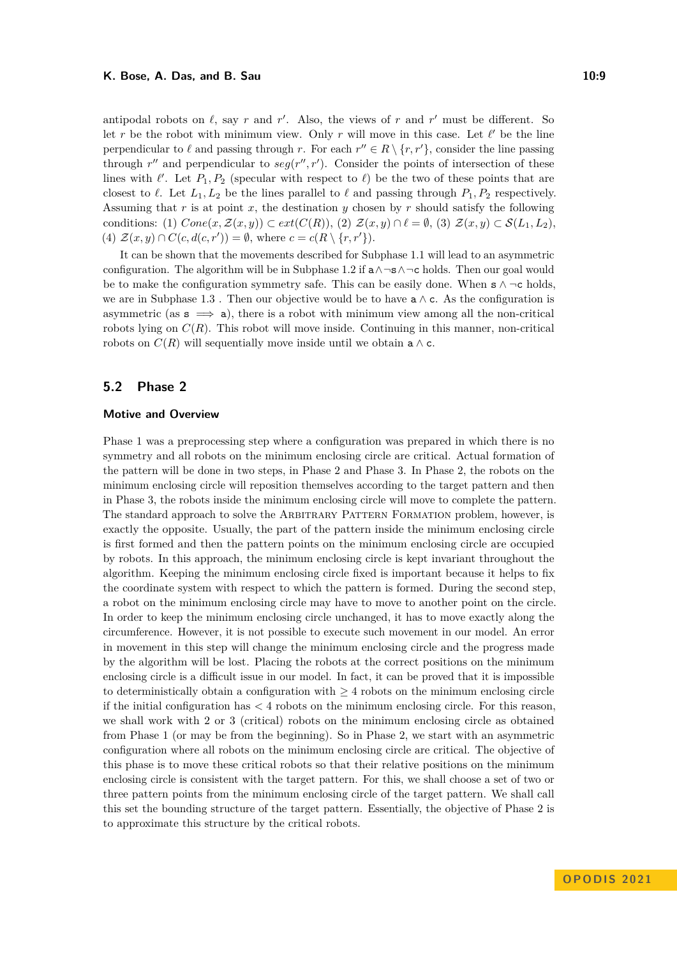antipodal robots on  $\ell$ , say  $r$  and  $r'$ . Also, the views of  $r$  and  $r'$  must be different. So let *r* be the robot with minimum view. Only *r* will move in this case. Let  $\ell'$  be the line perpendicular to  $\ell$  and passing through *r*. For each  $r'' \in R \setminus \{r, r'\}$ , consider the line passing through  $r''$  and perpendicular to  $seg(r'', r')$ . Consider the points of intersection of these lines with  $\ell'$ . Let  $P_1, P_2$  (specular with respect to  $\ell$ ) be the two of these points that are closest to  $\ell$ . Let  $L_1, L_2$  be the lines parallel to  $\ell$  and passing through  $P_1, P_2$  respectively. Assuming that *r* is at point *x*, the destination *y* chosen by *r* should satisfy the following conditions: (1)  $Cone(x, \mathcal{Z}(x, y)) \subset ext(C(R)),$  (2)  $\mathcal{Z}(x, y) \cap \ell = \emptyset$ , (3)  $\mathcal{Z}(x, y) \subset \mathcal{S}(L_1, L_2)$ . (4)  $\mathcal{Z}(x, y) \cap C(c, d(c, r')) = \emptyset$ , where  $c = c(R \setminus \{r, r'\})$ .

It can be shown that the movements described for Subphase 1.1 will lead to an asymmetric configuration. The algorithm will be in Subphase 1.2 if  $a \wedge \neg s \wedge \neg c$  holds. Then our goal would be to make the configuration symmetry safe. This can be easily done. When  $s \wedge \neg c$  holds, we are in Subphase 1.3. Then our objective would be to have  $a \wedge c$ . As the configuration is asymmetric (as  $s \implies a$ ), there is a robot with minimum view among all the non-critical robots lying on  $C(R)$ . This robot will move inside. Continuing in this manner, non-critical robots on  $C(R)$  will sequentially move inside until we obtain a  $\wedge$  c.

## **5.2 Phase 2**

#### **Motive and Overview**

Phase 1 was a preprocessing step where a configuration was prepared in which there is no symmetry and all robots on the minimum enclosing circle are critical. Actual formation of the pattern will be done in two steps, in Phase 2 and Phase 3. In Phase 2, the robots on the minimum enclosing circle will reposition themselves according to the target pattern and then in Phase 3, the robots inside the minimum enclosing circle will move to complete the pattern. The standard approach to solve the ARBITRARY PATTERN FORMATION problem, however, is exactly the opposite. Usually, the part of the pattern inside the minimum enclosing circle is first formed and then the pattern points on the minimum enclosing circle are occupied by robots. In this approach, the minimum enclosing circle is kept invariant throughout the algorithm. Keeping the minimum enclosing circle fixed is important because it helps to fix the coordinate system with respect to which the pattern is formed. During the second step, a robot on the minimum enclosing circle may have to move to another point on the circle. In order to keep the minimum enclosing circle unchanged, it has to move exactly along the circumference. However, it is not possible to execute such movement in our model. An error in movement in this step will change the minimum enclosing circle and the progress made by the algorithm will be lost. Placing the robots at the correct positions on the minimum enclosing circle is a difficult issue in our model. In fact, it can be proved that it is impossible to deterministically obtain a configuration with  $\geq 4$  robots on the minimum enclosing circle if the initial configuration has *<* 4 robots on the minimum enclosing circle. For this reason, we shall work with 2 or 3 (critical) robots on the minimum enclosing circle as obtained from Phase 1 (or may be from the beginning). So in Phase 2, we start with an asymmetric configuration where all robots on the minimum enclosing circle are critical. The objective of this phase is to move these critical robots so that their relative positions on the minimum enclosing circle is consistent with the target pattern. For this, we shall choose a set of two or three pattern points from the minimum enclosing circle of the target pattern. We shall call this set the bounding structure of the target pattern. Essentially, the objective of Phase 2 is to approximate this structure by the critical robots.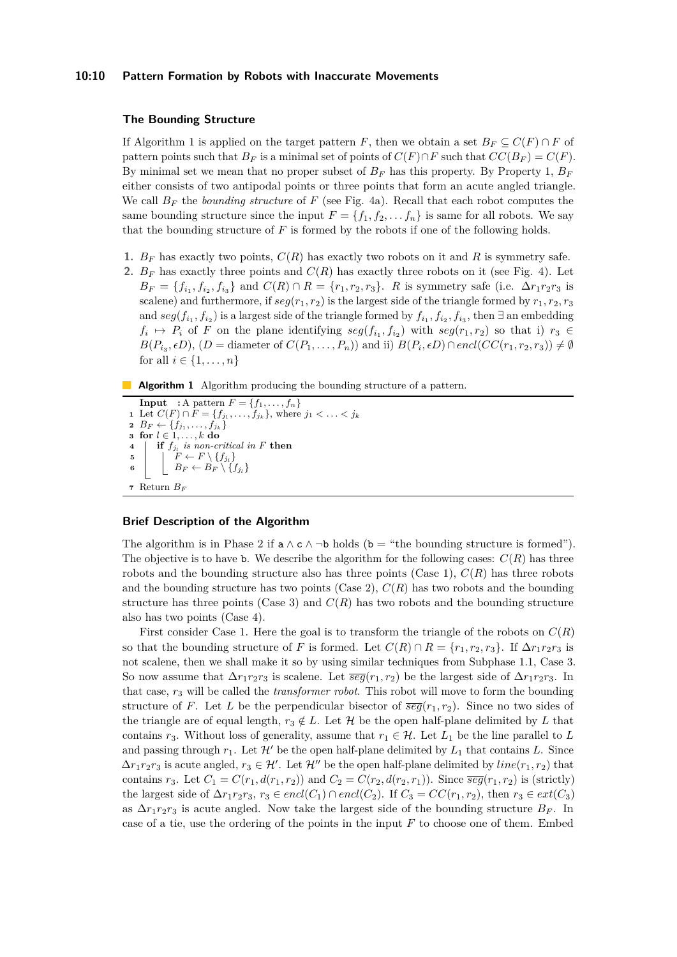#### **10:10 Pattern Formation by Robots with Inaccurate Movements**

#### **The Bounding Structure**

If Algorithm [1](#page-9-0) is applied on the target pattern *F*, then we obtain a set  $B_F \subseteq C(F) \cap F$  of pattern points such that  $B_F$  is a minimal set of points of  $C(F) \cap F$  such that  $CC(B_F) = C(F)$ . By minimal set we mean that no proper subset of  $B_F$  has this property. By Property [1,](#page-4-1)  $B_F$ either consists of two antipodal points or three points that form an acute angled triangle. We call  $B_F$  the *bounding structure* of  $F$  (see Fig. [4a\)](#page-10-0). Recall that each robot computes the same bounding structure since the input  $F = \{f_1, f_2, \ldots, f_n\}$  is same for all robots. We say that the bounding structure of *F* is formed by the robots if one of the following holds.

- **1.**  $B_F$  has exactly two points,  $C(R)$  has exactly two robots on it and R is symmetry safe.
- **2.**  $B_F$  has exactly three points and  $C(R)$  has exactly three robots on it (see Fig. [4\)](#page-10-0). Let  $B_F = \{f_{i_1}, f_{i_2}, f_{i_3}\}\$ and  $C(R) \cap R = \{r_1, r_2, r_3\}$ . *R* is symmetry safe (i.e.  $\Delta r_1 r_2 r_3$  is scalene) and furthermore, if  $seg(r_1, r_2)$  is the largest side of the triangle formed by  $r_1, r_2, r_3$ and  $seg(f_{i_1}, f_{i_2})$  is a largest side of the triangle formed by  $f_{i_1}, f_{i_2}, f_{i_3}$ , then  $\exists$  an embedding  $f_i \mapsto P_i$  of *F* on the plane identifying  $seg(f_{i_1}, f_{i_2})$  with  $seg(r_1, r_2)$  so that i)  $r_3 \in$  $B(P_{i_3}, \epsilon D)$ ,  $(D = \text{diameter of } C(P_1, \ldots, P_n))$  and ii)  $B(P_i, \epsilon D) \cap encl(CC(r_1, r_2, r_3)) \neq \emptyset$ for all  $i \in \{1, ..., n\}$
- **Algorithm 1** Algorithm producing the bounding structure of a pattern.

```
Input : A pattern F = \{f_1, \ldots, f_n\}1 Let C(F) \cap F = \{f_{j_1}, \ldots, f_{j_k}\}\, where j_1 < \ldots < j_k2 \, B_F \leftarrow \{f_{j_1}, \ldots, f_{j_k}\}3 for l \in 1, \ldots, k do
4 if f_{j_l} is non-critical in F then
5 \vert \vert F \leftarrow F \setminus \{f_{j_l}\}\mathbf{6} | B_F \leftarrow B_F \setminus \{f_{j_i}\}7 Return BF
```
#### <span id="page-9-0"></span>**Brief Description of the Algorithm**

The algorithm is in Phase 2 if  $a \wedge c \wedge \neg b$  holds (b = "the bounding structure is formed"). The objective is to have b. We describe the algorithm for the following cases:  $C(R)$  has three robots and the bounding structure also has three points (Case 1),  $C(R)$  has three robots and the bounding structure has two points (Case 2),  $C(R)$  has two robots and the bounding structure has three points (Case 3) and  $C(R)$  has two robots and the bounding structure also has two points (Case 4).

First consider Case 1. Here the goal is to transform the triangle of the robots on  $C(R)$ so that the bounding structure of *F* is formed. Let  $C(R) \cap R = \{r_1, r_2, r_3\}$ . If  $\Delta r_1 r_2 r_3$  is not scalene, then we shall make it so by using similar techniques from Subphase 1.1, Case 3. So now assume that  $\Delta r_1 r_2 r_3$  is scalene. Let  $\overline{seg}(r_1, r_2)$  be the largest side of  $\Delta r_1 r_2 r_3$ . In that case, *r*<sup>3</sup> will be called the *transformer robot*. This robot will move to form the bounding structure of *F*. Let *L* be the perpendicular bisector of  $\overline{seg}(r_1, r_2)$ . Since no two sides of the triangle are of equal length,  $r_3 \notin L$ . Let H be the open half-plane delimited by L that contains  $r_3$ . Without loss of generality, assume that  $r_1 \in \mathcal{H}$ . Let  $L_1$  be the line parallel to L and passing through  $r_1$ . Let  $\mathcal{H}'$  be the open half-plane delimited by  $L_1$  that contains  $L$ . Since  $\Delta r_1 r_2 r_3$  is acute angled,  $r_3 \in \mathcal{H}'$ . Let  $\mathcal{H}''$  be the open half-plane delimited by  $line(r_1, r_2)$  that contains  $r_3$ . Let  $C_1 = C(r_1, d(r_1, r_2))$  and  $C_2 = C(r_2, d(r_2, r_1))$ . Since  $\overline{\mathscr{seg}}(r_1, r_2)$  is (strictly) the largest side of  $\Delta r_1 r_2 r_3$ ,  $r_3 \in encl(C_1) \cap encl(C_2)$ . If  $C_3 = CC(r_1, r_2)$ , then  $r_3 \in ext(C_3)$ as  $\Delta r_1 r_2 r_3$  is acute angled. Now take the largest side of the bounding structure  $B_F$ . In case of a tie, use the ordering of the points in the input *F* to choose one of them. Embed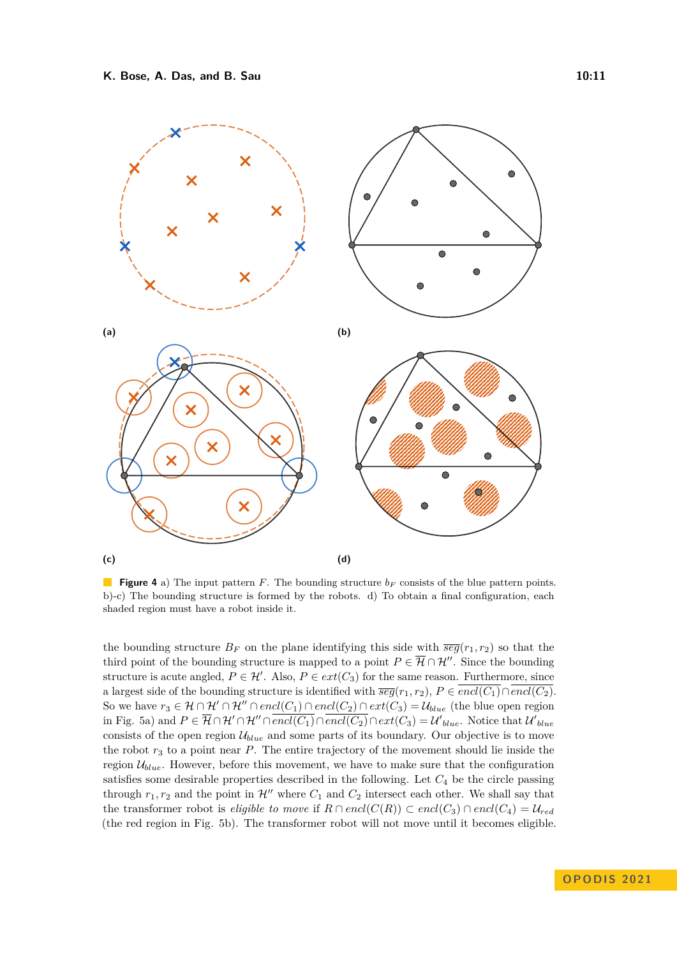<span id="page-10-0"></span>

**Figure 4** a) The input pattern *F*. The bounding structure *b<sup>F</sup>* consists of the blue pattern points. b)-c) The bounding structure is formed by the robots. d) To obtain a final configuration, each shaded region must have a robot inside it.

the bounding structure  $B_F$  on the plane identifying this side with  $\overline{seg}(r_1, r_2)$  so that the third point of the bounding structure is mapped to a point  $P \in \overline{\mathcal{H}} \cap \mathcal{H}''$ . Since the bounding structure is acute angled,  $P \in \mathcal{H}'$ . Also,  $P \in ext(C_3)$  for the same reason. Furthermore, since a largest side of the bounding structure is identified with  $\overline{seg}(r_1, r_2), P \in \overline{encl(C_1)} \cap \overline{encl(C_2)}$ . So we have  $r_3 \in \mathcal{H} \cap \mathcal{H}' \cap \mathcal{H}'' \cap encl(C_1) \cap encl(C_2) \cap ext(C_3) = \mathcal{U}_{blue}$  (the blue open region in Fig. [5a\)](#page-11-0) and  $P \in \overline{\mathcal{H}} \cap \mathcal{H}' \cap \overline{H'' \cap \overline{encl(C_1)} \cap \overline{encl(C_2)} \cap ext(C_3) = \mathcal{U'}_{blue}$ . Notice that  $\mathcal{U'}_{blue}$ consists of the open region  $U_{blue}$  and some parts of its boundary. Our objective is to move the robot *r*<sup>3</sup> to a point near *P*. The entire trajectory of the movement should lie inside the region  $\mathcal{U}_{blue}$ . However, before this movement, we have to make sure that the configuration satisfies some desirable properties described in the following. Let *C*<sup>4</sup> be the circle passing through  $r_1, r_2$  and the point in  $\mathcal{H}''$  where  $C_1$  and  $C_2$  intersect each other. We shall say that the transformer robot is *eligible to move* if  $R \cap encl(C(R)) \subset encl(C_3) \cap encl(C_4) = \mathcal{U}_{red}$ (the red region in Fig. [5b\)](#page-11-0). The transformer robot will not move until it becomes eligible.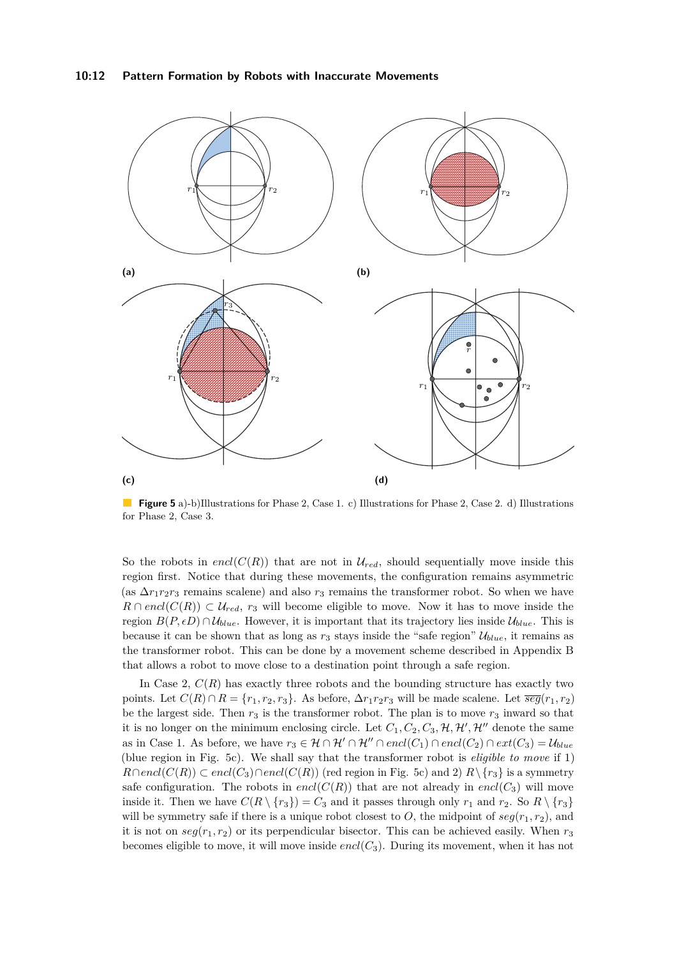#### **10:12 Pattern Formation by Robots with Inaccurate Movements**

<span id="page-11-0"></span>

**Figure 5** a)-b)Illustrations for Phase 2, Case 1. c) Illustrations for Phase 2, Case 2. d) Illustrations for Phase 2, Case 3.

So the robots in encl( $C(R)$ ) that are not in  $\mathcal{U}_{red}$ , should sequentially move inside this region first. Notice that during these movements, the configuration remains asymmetric (as  $\Delta r_1 r_2 r_3$  remains scalene) and also  $r_3$  remains the transformer robot. So when we have  $R \cap encl(C(R)) \subset U_{red}$ ,  $r_3$  will become eligible to move. Now it has to move inside the region  $B(P, \epsilon D) \cap \mathcal{U}_{blue}$ . However, it is important that its trajectory lies inside  $\mathcal{U}_{blue}$ . This is because it can be shown that as long as  $r_3$  stays inside the "safe region"  $\mathcal{U}_{blue}$ , it remains as the transformer robot. This can be done by a movement scheme described in Appendix [B](#page-17-0) that allows a robot to move close to a destination point through a safe region.

In Case 2,  $C(R)$  has exactly three robots and the bounding structure has exactly two points. Let  $C(R) \cap R = \{r_1, r_2, r_3\}$ . As before,  $\Delta r_1 r_2 r_3$  will be made scalene. Let  $\overline{seg}(r_1, r_2)$ be the largest side. Then  $r_3$  is the transformer robot. The plan is to move  $r_3$  inward so that it is no longer on the minimum enclosing circle. Let  $C_1, C_2, C_3, \mathcal{H}, \mathcal{H}', \mathcal{H}''$  denote the same as in Case 1. As before, we have  $r_3 \in H \cap H' \cap H'' \cap encl(C_1) \cap encl(C_2) \cap ext(C_3) = U_{blue}$ (blue region in Fig. [5c\)](#page-11-0). We shall say that the transformer robot is *eligible to move* if 1) *R*∩*encl*(*C*(*R*)) ⊂ *encl*(*C*<sub>3</sub>)∩*encl*(*C*(*R*)) (red region in Fig. [5c\)](#page-11-0) and 2)  $R\setminus\{r_3\}$  is a symmetry safe configuration. The robots in  $encl(C(R))$  that are not already in  $encl(C_3)$  will move inside it. Then we have  $C(R \setminus \{r_3\}) = C_3$  and it passes through only  $r_1$  and  $r_2$ . So  $R \setminus \{r_3\}$ will be symmetry safe if there is a unique robot closest to O, the midpoint of  $seg(r_1, r_2)$ , and it is not on  $seg(r_1, r_2)$  or its perpendicular bisector. This can be achieved easily. When  $r_3$ becomes eligible to move, it will move inside *encl*(*C*3). During its movement, when it has not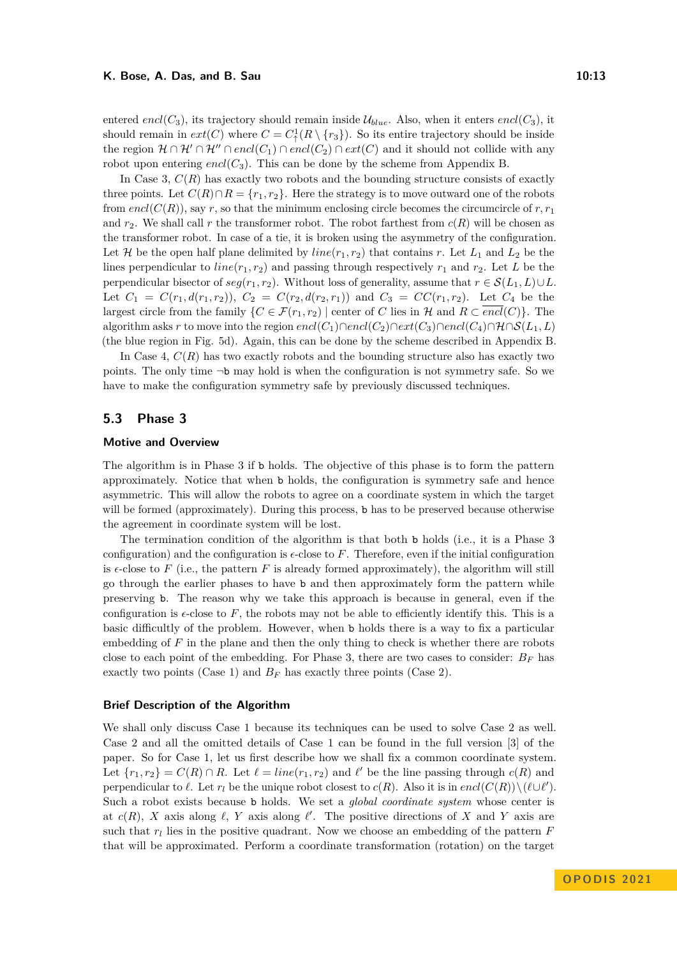entered *encl*( $C_3$ ), its trajectory should remain inside  $\mathcal{U}_{blue}$ . Also, when it enters *encl*( $C_3$ ), it should remain in  $ext(C)$  where  $C = C_1^1(R \setminus \{r_3\})$ . So its entire trajectory should be inside the region  $\mathcal{H} \cap \mathcal{H}' \cap \mathcal{H}'' \cap encl(C_1) \cap encl(C_2) \cap ext(C)$  and it should not collide with any robot upon entering *encl*( $C_3$ ). This can be done by the scheme from Appendix [B.](#page-17-0)

In Case 3,  $C(R)$  has exactly two robots and the bounding structure consists of exactly three points. Let  $C(R) \cap R = \{r_1, r_2\}$ . Here the strategy is to move outward one of the robots from  $encl(C(R))$ , say r, so that the minimum enclosing circle becomes the circumcircle of r,  $r_1$ and  $r_2$ . We shall call r the transformer robot. The robot farthest from  $c(R)$  will be chosen as the transformer robot. In case of a tie, it is broken using the asymmetry of the configuration. Let *H* be the open half plane delimited by *line*( $r_1, r_2$ ) that contains *r*. Let  $L_1$  and  $L_2$  be the lines perpendicular to  $line(r_1, r_2)$  and passing through respectively  $r_1$  and  $r_2$ . Let *L* be the perpendicular bisector of  $seg(r_1, r_2)$ . Without loss of generality, assume that  $r \in \mathcal{S}(L_1, L) \cup L$ . Let  $C_1 = C(r_1, d(r_1, r_2))$ ,  $C_2 = C(r_2, d(r_2, r_1))$  and  $C_3 = CC(r_1, r_2)$ . Let  $C_4$  be the largest circle from the family  $\{C \in \mathcal{F}(r_1, r_2) \mid \text{center of } C \text{ lies in } \mathcal{H} \text{ and } R \subset \overline{encl}(C) \}.$  The algorithm asks *r* to move into the region  $encl(C_1) \cap encl(C_2) \cap ext(C_3) \cap encl(C_4) \cap \mathcal{H} \cap \mathcal{S}(L_1, L)$ (the blue region in Fig. [5d\)](#page-11-0). Again, this can be done by the scheme described in Appendix [B.](#page-17-0)

In Case 4, *C*(*R*) has two exactly robots and the bounding structure also has exactly two points. The only time  $\neg$ b may hold is when the configuration is not symmetry safe. So we have to make the configuration symmetry safe by previously discussed techniques.

## **5.3 Phase 3**

#### **Motive and Overview**

The algorithm is in Phase 3 if b holds. The objective of this phase is to form the pattern approximately. Notice that when b holds, the configuration is symmetry safe and hence asymmetric. This will allow the robots to agree on a coordinate system in which the target will be formed (approximately). During this process, **b** has to be preserved because otherwise the agreement in coordinate system will be lost.

The termination condition of the algorithm is that both b holds (i.e., it is a Phase 3 configuration) and the configuration is  $\epsilon$ -close to F. Therefore, even if the initial configuration is  $\epsilon$ -close to F (i.e., the pattern F is already formed approximately), the algorithm will still go through the earlier phases to have b and then approximately form the pattern while preserving b. The reason why we take this approach is because in general, even if the configuration is  $\epsilon$ -close to  $F$ , the robots may not be able to efficiently identify this. This is a basic difficultly of the problem. However, when b holds there is a way to fix a particular embedding of *F* in the plane and then the only thing to check is whether there are robots close to each point of the embedding. For Phase 3, there are two cases to consider:  $B_F$  has exactly two points (Case 1) and  $B_F$  has exactly three points (Case 2).

#### **Brief Description of the Algorithm**

We shall only discuss Case 1 because its techniques can be used to solve Case 2 as well. Case 2 and all the omitted details of Case 1 can be found in the full version [\[3\]](#page-15-2) of the paper. So for Case 1, let us first describe how we shall fix a common coordinate system. Let  ${r_1, r_2} = C(R) \cap R$ . Let  $\ell = line(r_1, r_2)$  and  $\ell'$  be the line passing through  $c(R)$  and perpendicular to  $\ell$ . Let  $r_l$  be the unique robot closest to  $c(R)$ . Also it is in  $encl(C(R))\setminus (\ell\cup\ell')$ . Such a robot exists because b holds. We set a *global coordinate system* whose center is at  $c(R)$ , *X* axis along  $\ell$ , *Y* axis along  $\ell'$ . The positive directions of *X* and *Y* axis are such that  $r_l$  lies in the positive quadrant. Now we choose an embedding of the pattern  $F$ that will be approximated. Perform a coordinate transformation (rotation) on the target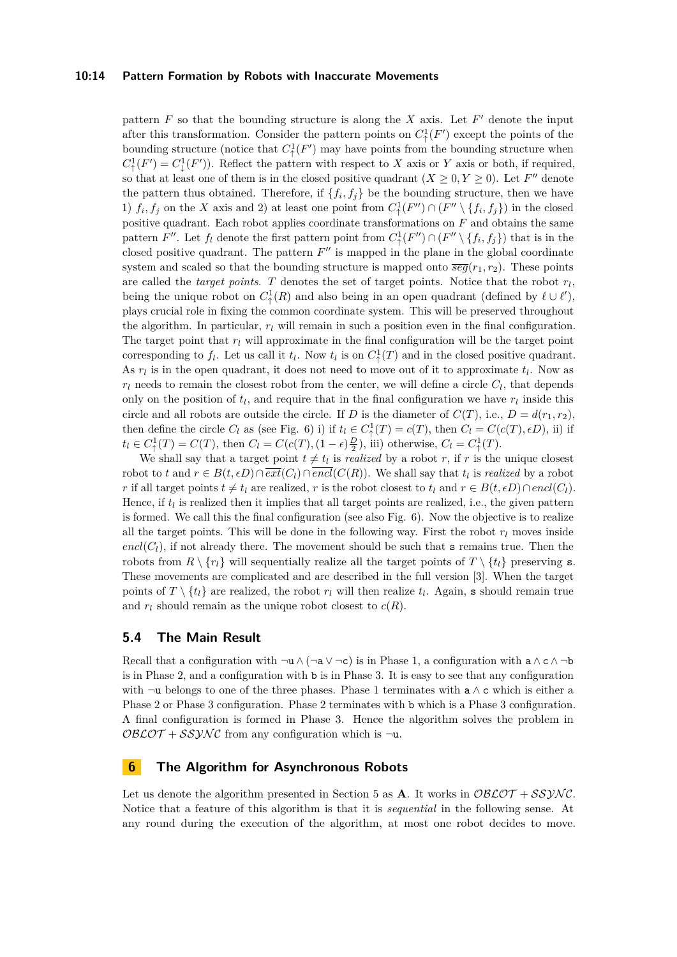#### **10:14 Pattern Formation by Robots with Inaccurate Movements**

pattern  $F$  so that the bounding structure is along the  $X$  axis. Let  $F'$  denote the input after this transformation. Consider the pattern points on  $C^1_{\uparrow}(F')$  except the points of the bounding structure (notice that  $C^1_{\uparrow}(F')$  may have points from the bounding structure when  $C^1_{\uparrow}(F') = C^1_{\downarrow}(F')$ . Reflect the pattern with respect to *X* axis or *Y* axis or both, if required, so that at least one of them is in the closed positive quadrant  $(X \ge 0, Y \ge 0)$ . Let *F''* denote the pattern thus obtained. Therefore, if  $\{f_i, f_j\}$  be the bounding structure, then we have 1)  $f_i, f_j$  on the *X* axis and 2) at least one point from  $C^1_{\uparrow}(F'') \cap (F'' \setminus \{f_i, f_j\})$  in the closed positive quadrant. Each robot applies coordinate transformations on *F* and obtains the same pattern *F*<sup>''</sup>. Let  $f_l$  denote the first pattern point from  $C^1_{\uparrow}(F'') \cap (F'' \setminus \{f_i, f_j\})$  that is in the closed positive quadrant. The pattern  $F''$  is mapped in the plane in the global coordinate system and scaled so that the bounding structure is mapped onto  $\overline{seg}(r_1, r_2)$ . These points are called the *target points*. *T* denotes the set of target points. Notice that the robot *r<sup>l</sup>* , being the unique robot on  $C^1_{\uparrow}(R)$  and also being in an open quadrant (defined by  $\ell \cup \ell'$ ), plays crucial role in fixing the common coordinate system. This will be preserved throughout the algorithm. In particular,  $r_l$  will remain in such a position even in the final configuration. The target point that  $r_l$  will approximate in the final configuration will be the target point corresponding to  $f_l$ . Let us call it  $t_l$ . Now  $t_l$  is on  $C^1_{\uparrow}(T)$  and in the closed positive quadrant. As  $r_l$  is in the open quadrant, it does not need to move out of it to approximate  $t_l$ . Now as  $r_l$  needs to remain the closest robot from the center, we will define a circle  $C_l$ , that depends only on the position of  $t_l$ , and require that in the final configuration we have  $r_l$  inside this circle and all robots are outside the circle. If *D* is the diameter of  $C(T)$ , i.e.,  $D = d(r_1, r_2)$ , then define the circle  $C_l$  as (see Fig. [6\)](#page-14-0) i) if  $t_l \in C^1(\mathcal{T}) = c(T)$ , then  $C_l = C(c(T), \epsilon D)$ , ii) if  $t_l \in C^1_\uparrow(T) = C(T)$ , then  $C_l = C(c(T), (1 - \epsilon) \frac{D}{2})$ , iii) otherwise,  $C_l = C^1_\uparrow(T)$ .

We shall say that a target point  $t \neq t_l$  is *realized* by a robot *r*, if *r* is the unique closest robot to *t* and  $r \in B(t, \epsilon D) \cap \overline{ext}(C_l) \cap encl(C(R))$ . We shall say that  $t_l$  is *realized* by a robot *r* if all target points  $t \neq t_l$  are realized, *r* is the robot closest to  $t_l$  and  $r \in B(t, \epsilon D) \cap \text{encl}(C_l)$ . Hence, if  $t_l$  is realized then it implies that all target points are realized, i.e., the given pattern is formed. We call this the final configuration (see also Fig. [6\)](#page-14-0). Now the objective is to realize all the target points. This will be done in the following way. First the robot  $r_l$  moves inside  $encl(C_l)$ , if not already there. The movement should be such that s remains true. Then the robots from  $R \setminus \{r_l\}$  will sequentially realize all the target points of  $T \setminus \{t_l\}$  preserving s. These movements are complicated and are described in the full version [\[3\]](#page-15-2). When the target points of  $T \setminus \{t_l\}$  are realized, the robot  $r_l$  will then realize  $t_l$ . Again, s should remain true and  $r_l$  should remain as the unique robot closest to  $c(R)$ .

## **5.4 The Main Result**

Recall that a configuration with  $\neg u \wedge (\neg a \vee \neg c)$  is in Phase 1, a configuration with  $a \wedge c \wedge \neg b$ is in Phase 2, and a configuration with b is in Phase 3. It is easy to see that any configuration with  $\neg$ u belongs to one of the three phases. Phase 1 terminates with a  $\land$  c which is either a Phase 2 or Phase 3 configuration. Phase 2 terminates with b which is a Phase 3 configuration. A final configuration is formed in Phase 3. Hence the algorithm solves the problem in  $O\mathcal{BLOT} + SS\mathcal{YNC}$  from any configuration which is  $\neg u$ .

## **6 The Algorithm for Asynchronous Robots**

Let us denote the algorithm presented in Section [5](#page-6-0) as **A**. It works in  $OBCOT + SSVMC$ . Notice that a feature of this algorithm is that it is *sequential* in the following sense. At any round during the execution of the algorithm, at most one robot decides to move.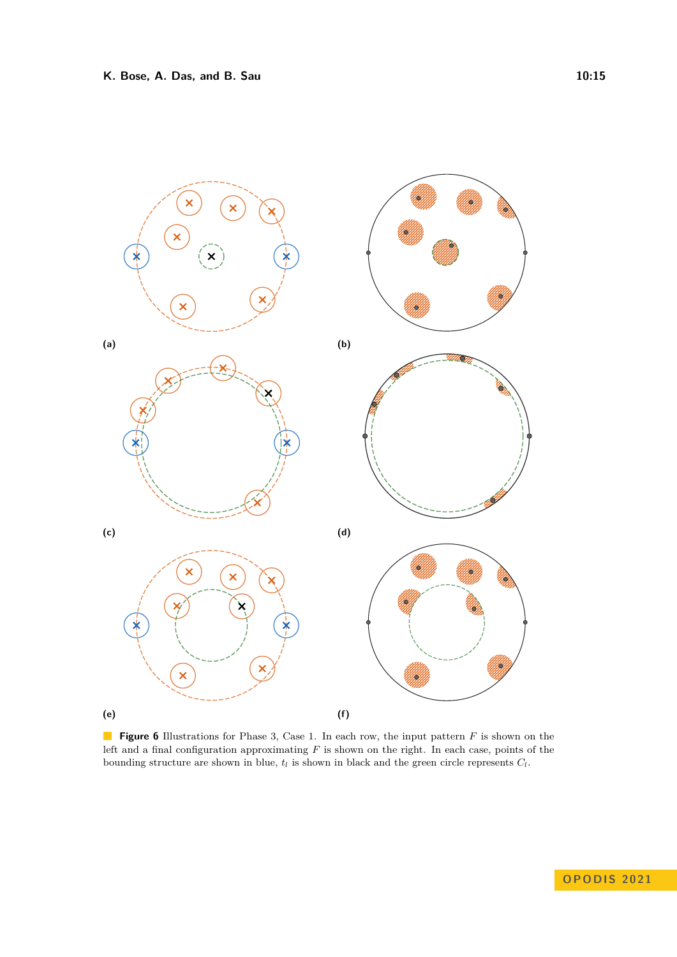<span id="page-14-0"></span>

**Figure 6** Illustrations for Phase 3, Case 1. In each row, the input pattern *F* is shown on the left and a final configuration approximating *F* is shown on the right. In each case, points of the bounding structure are shown in blue,  $t_l$  is shown in black and the green circle represents  $C_l$ .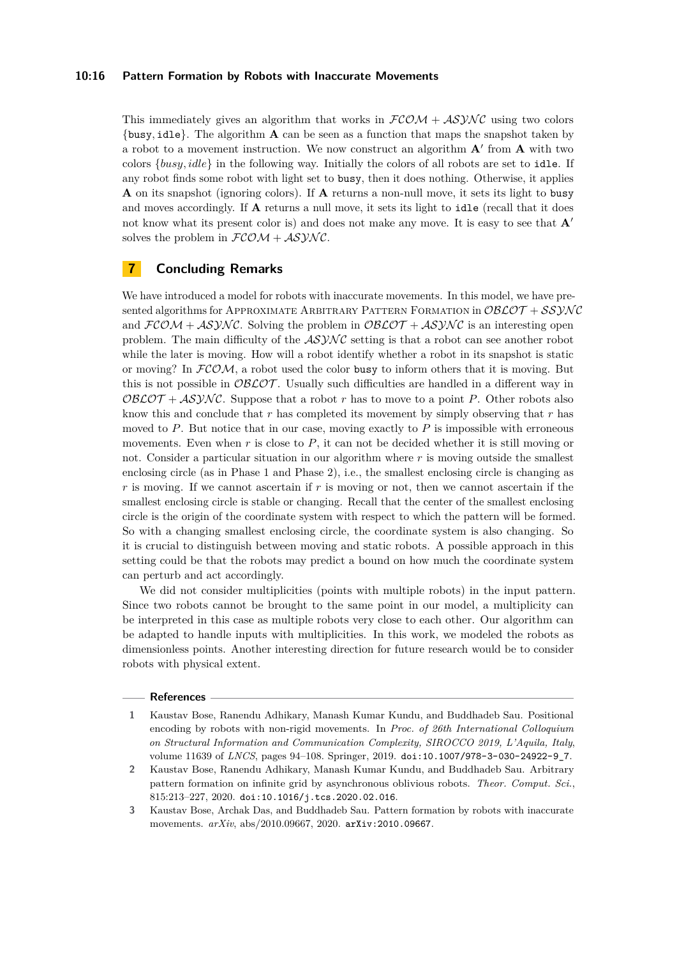#### **10:16 Pattern Formation by Robots with Inaccurate Movements**

This immediately gives an algorithm that works in  $FCOM + ASYNC$  using two colors {busy*,* idle}. The algorithm **A** can be seen as a function that maps the snapshot taken by a robot to a movement instruction. We now construct an algorithm **A**′ from **A** with two colors {*busy, idle*} in the following way. Initially the colors of all robots are set to idle. If any robot finds some robot with light set to busy, then it does nothing. Otherwise, it applies **A** on its snapshot (ignoring colors). If **A** returns a non-null move, it sets its light to busy and moves accordingly. If **A** returns a null move, it sets its light to idle (recall that it does not know what its present color is) and does not make any move. It is easy to see that **A**′ solves the problem in  $FCOM + ASYNC$ .

## **7 Concluding Remarks**

We have introduced a model for robots with inaccurate movements. In this model, we have presented algorithms for APPROXIMATE ARBITRARY PATTERN FORMATION in  $\mathcal{O}\mathcal{B}\mathcal{L}\mathcal{O}\mathcal{T} + \mathcal{SSY}\mathcal{NC}$ and  $FCOM + ASYNC$ . Solving the problem in  $OBLOT + ASYNC$  is an interesting open problem. The main difficulty of the  $ASYNC$  setting is that a robot can see another robot while the later is moving. How will a robot identify whether a robot in its snapshot is static or moving? In  $FCOM$ , a robot used the color busy to inform others that it is moving. But this is not possible in  $\mathcal{O}B\mathcal{L}\mathcal{O}\mathcal{T}$ . Usually such difficulties are handled in a different way in  $O\mathcal{BLOT} + AS\mathcal{YNC}$ . Suppose that a robot *r* has to move to a point *P*. Other robots also know this and conclude that *r* has completed its movement by simply observing that *r* has moved to  $P$ . But notice that in our case, moving exactly to  $P$  is impossible with erroneous movements. Even when  $r$  is close to  $P$ , it can not be decided whether it is still moving or not. Consider a particular situation in our algorithm where *r* is moving outside the smallest enclosing circle (as in Phase 1 and Phase 2), i.e., the smallest enclosing circle is changing as *r* is moving. If we cannot ascertain if *r* is moving or not, then we cannot ascertain if the smallest enclosing circle is stable or changing. Recall that the center of the smallest enclosing circle is the origin of the coordinate system with respect to which the pattern will be formed. So with a changing smallest enclosing circle, the coordinate system is also changing. So it is crucial to distinguish between moving and static robots. A possible approach in this setting could be that the robots may predict a bound on how much the coordinate system can perturb and act accordingly.

We did not consider multiplicities (points with multiple robots) in the input pattern. Since two robots cannot be brought to the same point in our model, a multiplicity can be interpreted in this case as multiple robots very close to each other. Our algorithm can be adapted to handle inputs with multiplicities. In this work, we modeled the robots as dimensionless points. Another interesting direction for future research would be to consider robots with physical extent.

#### **References**

<span id="page-15-2"></span>**3** Kaustav Bose, Archak Das, and Buddhadeb Sau. Pattern formation by robots with inaccurate movements. *arXiv*, abs/2010.09667, 2020. [arXiv:2010.09667](http://arxiv.org/abs/2010.09667).

<span id="page-15-0"></span>**<sup>1</sup>** Kaustav Bose, Ranendu Adhikary, Manash Kumar Kundu, and Buddhadeb Sau. Positional encoding by robots with non-rigid movements. In *Proc. of 26th International Colloquium on Structural Information and Communication Complexity, SIROCCO 2019, L'Aquila, Italy*, volume 11639 of *LNCS*, pages 94–108. Springer, 2019. [doi:10.1007/978-3-030-24922-9\\_7](https://doi.org/10.1007/978-3-030-24922-9_7).

<span id="page-15-1"></span>**<sup>2</sup>** Kaustav Bose, Ranendu Adhikary, Manash Kumar Kundu, and Buddhadeb Sau. Arbitrary pattern formation on infinite grid by asynchronous oblivious robots. *Theor. Comput. Sci.*, 815:213–227, 2020. [doi:10.1016/j.tcs.2020.02.016](https://doi.org/10.1016/j.tcs.2020.02.016).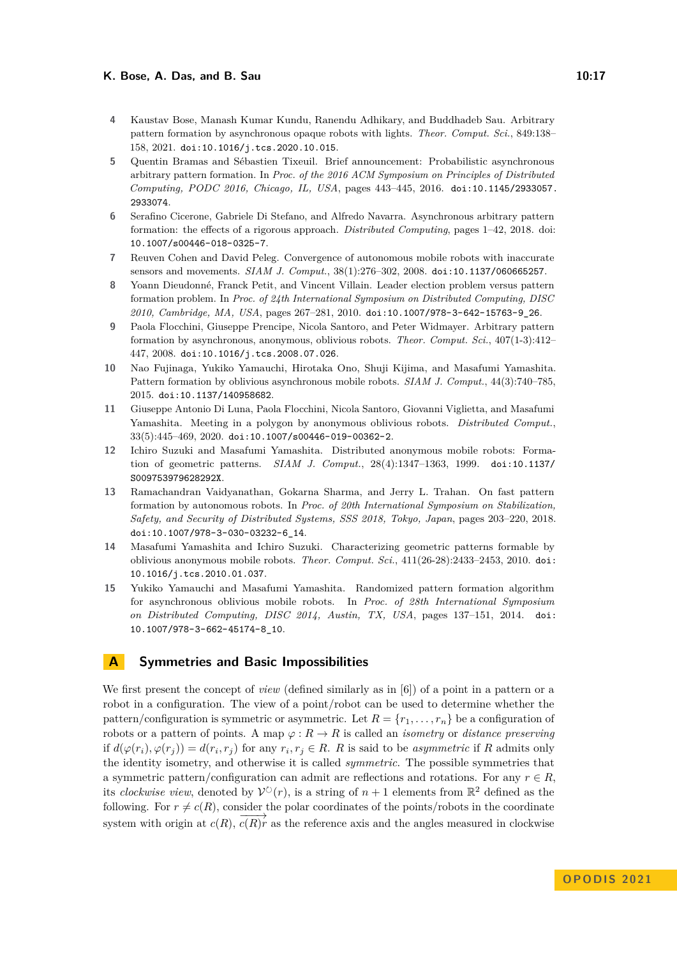#### **K. Bose, A. Das, and B. Sau 10:17 10:17**

- <span id="page-16-10"></span>**4** Kaustav Bose, Manash Kumar Kundu, Ranendu Adhikary, and Buddhadeb Sau. Arbitrary pattern formation by asynchronous opaque robots with lights. *Theor. Comput. Sci.*, 849:138– 158, 2021. [doi:10.1016/j.tcs.2020.10.015](https://doi.org/10.1016/j.tcs.2020.10.015).
- <span id="page-16-7"></span>**5** Quentin Bramas and Sébastien Tixeuil. Brief announcement: Probabilistic asynchronous arbitrary pattern formation. In *Proc. of the 2016 ACM Symposium on Principles of Distributed Computing, PODC 2016, Chicago, IL, USA*, pages 443–445, 2016. [doi:10.1145/2933057.](https://doi.org/10.1145/2933057.2933074) [2933074](https://doi.org/10.1145/2933057.2933074).
- <span id="page-16-5"></span>**6** Serafino Cicerone, Gabriele Di Stefano, and Alfredo Navarra. Asynchronous arbitrary pattern formation: the effects of a rigorous approach. *Distributed Computing*, pages 1–42, 2018. doi: <10.1007/s00446-018-0325-7>.
- <span id="page-16-11"></span>**7** Reuven Cohen and David Peleg. Convergence of autonomous mobile robots with inaccurate sensors and movements. *SIAM J. Comput.*, 38(1):276–302, 2008. [doi:10.1137/060665257](https://doi.org/10.1137/060665257).
- <span id="page-16-4"></span>**8** Yoann Dieudonné, Franck Petit, and Vincent Villain. Leader election problem versus pattern formation problem. In *Proc. of 24th International Symposium on Distributed Computing, DISC 2010, Cambridge, MA, USA*, pages 267–281, 2010. [doi:10.1007/978-3-642-15763-9\\_26](https://doi.org/10.1007/978-3-642-15763-9_26).
- <span id="page-16-3"></span>**9** Paola Flocchini, Giuseppe Prencipe, Nicola Santoro, and Peter Widmayer. Arbitrary pattern formation by asynchronous, anonymous, oblivious robots. *Theor. Comput. Sci.*, 407(1-3):412– 447, 2008. [doi:10.1016/j.tcs.2008.07.026](https://doi.org/10.1016/j.tcs.2008.07.026).
- <span id="page-16-8"></span>**10** Nao Fujinaga, Yukiko Yamauchi, Hirotaka Ono, Shuji Kijima, and Masafumi Yamashita. Pattern formation by oblivious asynchronous mobile robots. *SIAM J. Comput.*, 44(3):740–785, 2015. [doi:10.1137/140958682](https://doi.org/10.1137/140958682).
- <span id="page-16-0"></span>**11** Giuseppe Antonio Di Luna, Paola Flocchini, Nicola Santoro, Giovanni Viglietta, and Masafumi Yamashita. Meeting in a polygon by anonymous oblivious robots. *Distributed Comput.*, 33(5):445–469, 2020. [doi:10.1007/s00446-019-00362-2](https://doi.org/10.1007/s00446-019-00362-2).
- <span id="page-16-1"></span>**12** Ichiro Suzuki and Masafumi Yamashita. Distributed anonymous mobile robots: Formation of geometric patterns. *SIAM J. Comput.*, 28(4):1347–1363, 1999. [doi:10.1137/](https://doi.org/10.1137/S009753979628292X) [S009753979628292X](https://doi.org/10.1137/S009753979628292X).
- <span id="page-16-6"></span>**13** Ramachandran Vaidyanathan, Gokarna Sharma, and Jerry L. Trahan. On fast pattern formation by autonomous robots. In *Proc. of 20th International Symposium on Stabilization, Safety, and Security of Distributed Systems, SSS 2018, Tokyo, Japan*, pages 203–220, 2018. [doi:10.1007/978-3-030-03232-6\\_14](https://doi.org/10.1007/978-3-030-03232-6_14).
- <span id="page-16-2"></span>**14** Masafumi Yamashita and Ichiro Suzuki. Characterizing geometric patterns formable by oblivious anonymous mobile robots. *Theor. Comput. Sci.*, 411(26-28):2433–2453, 2010. [doi:](https://doi.org/10.1016/j.tcs.2010.01.037) [10.1016/j.tcs.2010.01.037](https://doi.org/10.1016/j.tcs.2010.01.037).
- <span id="page-16-9"></span>**15** Yukiko Yamauchi and Masafumi Yamashita. Randomized pattern formation algorithm for asynchronous oblivious mobile robots. In *Proc. of 28th International Symposium on Distributed Computing, DISC 2014, Austin, TX, USA*, pages 137–151, 2014. [doi:](https://doi.org/10.1007/978-3-662-45174-8_10) [10.1007/978-3-662-45174-8\\_10](https://doi.org/10.1007/978-3-662-45174-8_10).

## <span id="page-16-12"></span>**A Symmetries and Basic Impossibilities**

We first present the concept of *view* (defined similarly as in [\[6\]](#page-16-5)) of a point in a pattern or a robot in a configuration. The view of a point/robot can be used to determine whether the pattern/configuration is symmetric or asymmetric. Let  $R = \{r_1, \ldots, r_n\}$  be a configuration of robots or a pattern of points. A map  $\varphi : R \to R$  is called an *isometry* or *distance preserving* if  $d(\varphi(r_i), \varphi(r_j)) = d(r_i, r_j)$  for any  $r_i, r_j \in R$ . R is said to be asymmetric if R admits only the identity isometry, and otherwise it is called *symmetric*. The possible symmetries that a symmetric pattern/configuration can admit are reflections and rotations. For any  $r \in R$ , its *clockwise view*, denoted by  $V^{\circlearrowright}(r)$ , is a string of  $n+1$  elements from  $\mathbb{R}^2$  defined as the following. For  $r \neq c(R)$ , consider the polar coordinates of the points/robots in the coordinate system with origin at  $c(R)$ ,  $\overrightarrow{c(R)}r$  as the reference axis and the angles measured in clockwise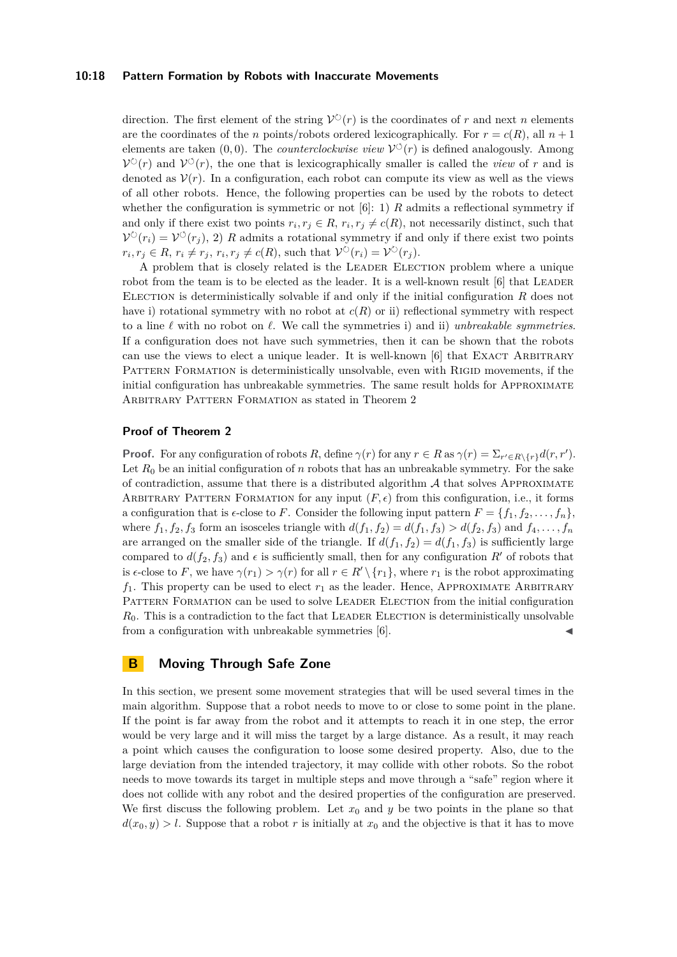#### **10:18 Pattern Formation by Robots with Inaccurate Movements**

direction. The first element of the string  $V^{\circlearrowright}(r)$  is the coordinates of *r* and next *n* elements are the coordinates of the *n* points/robots ordered lexicographically. For  $r = c(R)$ , all  $n + 1$ elements are taken  $(0,0)$ . The *counterclockwise view*  $\mathcal{V}^{\circlearrowleft}(r)$  is defined analogously. Among  $\mathcal{V}^{\circlearrowright}(r)$  and  $\mathcal{V}^{\circlearrowleft}(r)$ , the one that is lexicographically smaller is called the *view* of *r* and is denoted as  $V(r)$ . In a configuration, each robot can compute its view as well as the views of all other robots. Hence, the following properties can be used by the robots to detect whether the configuration is symmetric or not  $[6]$ : 1) *R* admits a reflectional symmetry if and only if there exist two points  $r_i, r_j \in R$ ,  $r_i, r_j \neq c(R)$ , not necessarily distinct, such that  $\mathcal{V}^{\circlearrowright}(r_i) = \mathcal{V}^{\circlearrowleft}(r_j)$ , 2) R admits a rotational symmetry if and only if there exist two points  $r_i, r_j \in R, r_i \neq r_j, r_i, r_j \neq c(R)$ , such that  $\mathcal{V}^{\circlearrowright}(r_i) = \mathcal{V}^{\circlearrowright}(r_j)$ .

A problem that is closely related is the Leader Election problem where a unique robot from the team is to be elected as the leader. It is a well-known result  $[6]$  that LEADER ELECTION is deterministically solvable if and only if the initial configuration  $R$  does not have i) rotational symmetry with no robot at  $c(R)$  or ii) reflectional symmetry with respect to a line *ℓ* with no robot on *ℓ*. We call the symmetries i) and ii) *unbreakable symmetries*. If a configuration does not have such symmetries, then it can be shown that the robots can use the views to elect a unique leader. It is well-known  $[6]$  that EXACT ARBITRARY PATTERN FORMATION is deterministically unsolvable, even with RIGID movements, if the initial configuration has unbreakable symmetries. The same result holds for Approximate ARBITRARY PATTERN FORMATION as stated in Theorem [2](#page-6-1)

## **Proof of Theorem [2](#page-6-1)**

**Proof.** For any configuration of robots *R*, define  $\gamma(r)$  for any  $r \in R$  as  $\gamma(r) = \sum_{r' \in R \setminus \{r\}} d(r, r')$ . Let  $R_0$  be an initial configuration of *n* robots that has an unbreakable symmetry. For the sake of contradiction, assume that there is a distributed algorithm  $A$  that solves APPROXIMATE ARBITRARY PATTERN FORMATION for any input  $(F, \epsilon)$  from this configuration, i.e., it forms a configuration that is  $\epsilon$ -close to *F*. Consider the following input pattern  $F = \{f_1, f_2, \ldots, f_n\}$ , where  $f_1, f_2, f_3$  form an isosceles triangle with  $d(f_1, f_2) = d(f_1, f_3) > d(f_2, f_3)$  and  $f_4, \ldots, f_n$ are arranged on the smaller side of the triangle. If  $d(f_1, f_2) = d(f_1, f_3)$  is sufficiently large compared to  $d(f_2, f_3)$  and  $\epsilon$  is sufficiently small, then for any configuration R' of robots that is  $\epsilon$ -close to *F*, we have  $\gamma(r_1) > \gamma(r)$  for all  $r \in R' \setminus \{r_1\}$ , where  $r_1$  is the robot approximating  $f_1$ . This property can be used to elect  $r_1$  as the leader. Hence, APPROXIMATE ARBITRARY PATTERN FORMATION can be used to solve LEADER ELECTION from the initial configuration  $R_0$ . This is a contradiction to the fact that LEADER ELECTION is deterministically unsolvable from a configuration with unbreakable symmetries  $[6]$ .

## <span id="page-17-0"></span>**B Moving Through Safe Zone**

In this section, we present some movement strategies that will be used several times in the main algorithm. Suppose that a robot needs to move to or close to some point in the plane. If the point is far away from the robot and it attempts to reach it in one step, the error would be very large and it will miss the target by a large distance. As a result, it may reach a point which causes the configuration to loose some desired property. Also, due to the large deviation from the intended trajectory, it may collide with other robots. So the robot needs to move towards its target in multiple steps and move through a "safe" region where it does not collide with any robot and the desired properties of the configuration are preserved. We first discuss the following problem. Let  $x_0$  and  $y$  be two points in the plane so that  $d(x_0, y) > l$ . Suppose that a robot *r* is initially at  $x_0$  and the objective is that it has to move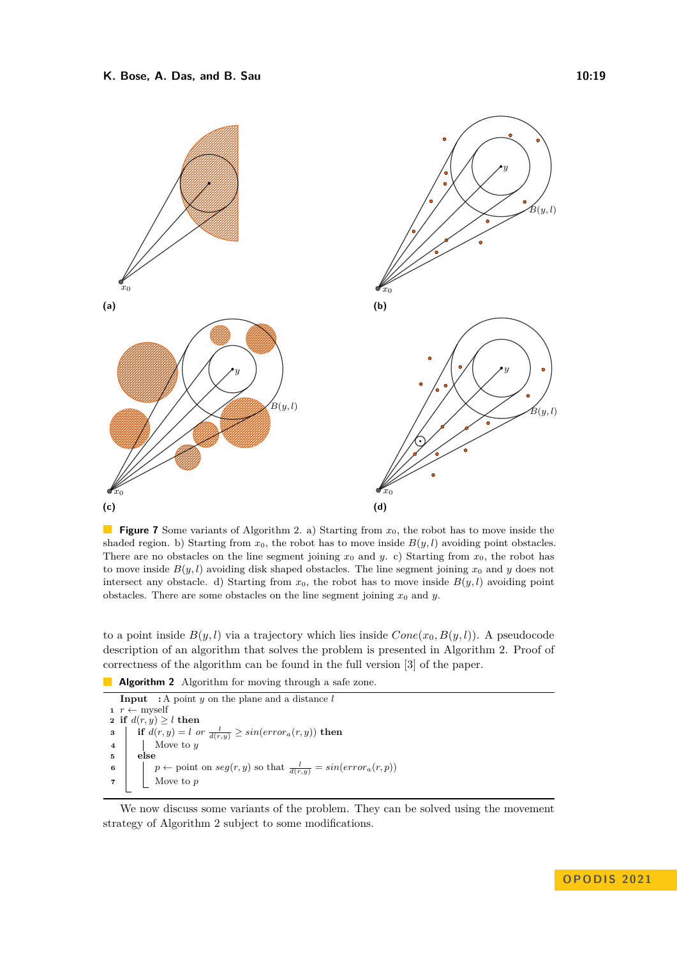<span id="page-18-1"></span>

**Figure 7** Some variants of Algorithm [2.](#page-18-0) a) Starting from  $x_0$ , the robot has to move inside the shaded region. b) Starting from  $x_0$ , the robot has to move inside  $B(y, l)$  avoiding point obstacles. There are no obstacles on the line segment joining  $x_0$  and  $y$ . c) Starting from  $x_0$ , the robot has to move inside  $B(y, l)$  avoiding disk shaped obstacles. The line segment joining  $x_0$  and  $y$  does not intersect any obstacle. d) Starting from  $x_0$ , the robot has to move inside  $B(y, l)$  avoiding point obstacles. There are some obstacles on the line segment joining  $x_0$  and  $y$ .

to a point inside  $B(y, l)$  via a trajectory which lies inside  $Cone(x_0, B(y, l))$ . A pseudocode description of an algorithm that solves the problem is presented in Algorithm [2.](#page-18-0) Proof of correctness of the algorithm can be found in the full version [\[3\]](#page-15-2) of the paper.

**Algorithm 2** Algorithm for moving through a safe zone.

```
Input : A point y on the plane and a distance l
1 r ← myself
2 if d(r, y) \ge l then
3 if d(r, y) = l or \frac{l}{d(r, y)} \geq sin(e \cdot r \cdot \text{ar}_a(r, y)) then
4 Move to y
5 else
6 \left| \quad p \leftarrow \text{point on } seg(r, y) \text{ so that } \frac{l}{d(r, y)} = \sin(\text{error}_a(r, p))7 Move to p
```
<span id="page-18-0"></span>We now discuss some variants of the problem. They can be solved using the movement strategy of Algorithm [2](#page-18-0) subject to some modifications.